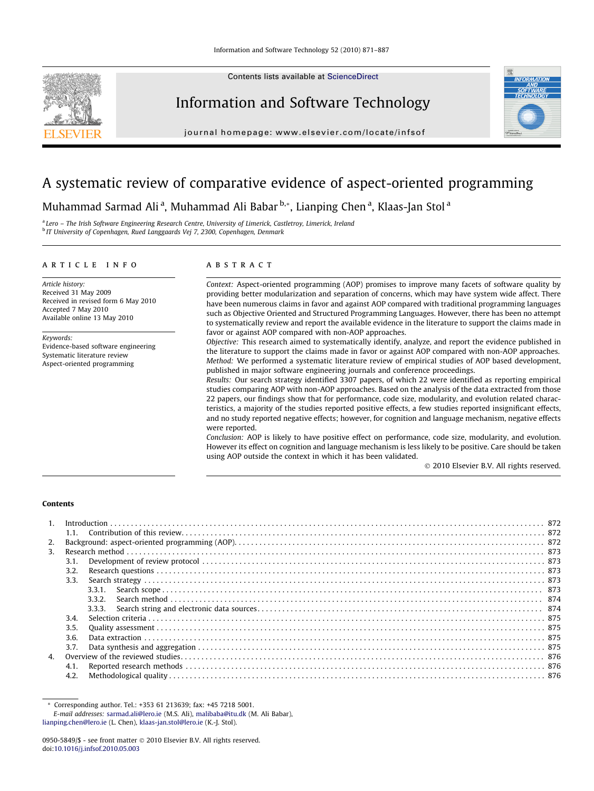

Contents lists available at [ScienceDirect](http://www.sciencedirect.com/science/journal/09505849)

## Information and Software Technology



journal homepage: [www.elsevier.com/locate/infsof](http://www.elsevier.com/locate/infsof)

# A systematic review of comparative evidence of aspect-oriented programming

## Muhammad Sarmad Ali <sup>a</sup>, Muhammad Ali Babar <sup>b,</sup>\*, Lianping Chen <sup>a</sup>, Klaas-Jan Stol <sup>a</sup>

<sup>a</sup> Lero - The Irish Software Engineering Research Centre, University of Limerick, Castletroy, Limerick, Ireland <sup>b</sup> IT University of Copenhagen, Rued Langgaards Vej 7, 2300, Copenhagen, Denmark

## article info

Article history: Received 31 May 2009 Received in revised form 6 May 2010 Accepted 7 May 2010 Available online 13 May 2010

Keywords: Evidence-based software engineering Systematic literature review Aspect-oriented programming

## **ABSTRACT**

Context: Aspect-oriented programming (AOP) promises to improve many facets of software quality by providing better modularization and separation of concerns, which may have system wide affect. There have been numerous claims in favor and against AOP compared with traditional programming languages such as Objective Oriented and Structured Programming Languages. However, there has been no attempt to systematically review and report the available evidence in the literature to support the claims made in favor or against AOP compared with non-AOP approaches.

Objective: This research aimed to systematically identify, analyze, and report the evidence published in the literature to support the claims made in favor or against AOP compared with non-AOP approaches. Method: We performed a systematic literature review of empirical studies of AOP based development, published in major software engineering journals and conference proceedings.

Results: Our search strategy identified 3307 papers, of which 22 were identified as reporting empirical studies comparing AOP with non-AOP approaches. Based on the analysis of the data extracted from those 22 papers, our findings show that for performance, code size, modularity, and evolution related characteristics, a majority of the studies reported positive effects, a few studies reported insignificant effects, and no study reported negative effects; however, for cognition and language mechanism, negative effects were reported.

Conclusion: AOP is likely to have positive effect on performance, code size, modularity, and evolution. However its effect on cognition and language mechanism is less likely to be positive. Care should be taken using AOP outside the context in which it has been validated.

 $©$  2010 Elsevier B.V. All rights reserved.

## Contents

| $\mathbf{1}$ . |        |
|----------------|--------|
|                | 1.1.   |
| 2.             |        |
| 3 <sub>1</sub> |        |
|                | 3.1    |
|                | 3.2.   |
|                | 3.3.   |
|                | 331    |
|                | 3.3.2  |
|                | 3.3.3. |
|                | 3.4    |
|                | 3.5.   |
|                | 3.6.   |
|                | 3.7.   |
| $\mathbf{4}$   |        |
|                | 4.1.   |
|                | 4.2.   |

<sup>\*</sup> Corresponding author. Tel.: +353 61 213639; fax: +45 7218 5001. E-mail addresses: [sarmad.ali@lero.ie](mailto:sarmad.ali@lero.ie) (M.S. Ali), [malibaba@itu.dk](mailto:malibaba@itu.dk) (M. Ali Babar), [lianping.chen@lero.ie](mailto:lianping.chen@lero.ie) (L. Chen), [klaas-jan.stol@lero.ie](mailto:klaas-jan.stol@lero.ie) (K.-J. Stol).

<sup>0950-5849/\$ -</sup> see front matter @ 2010 Elsevier B.V. All rights reserved. doi[:10.1016/j.infsof.2010.05.003](http://dx.doi.org/10.1016/j.infsof.2010.05.003)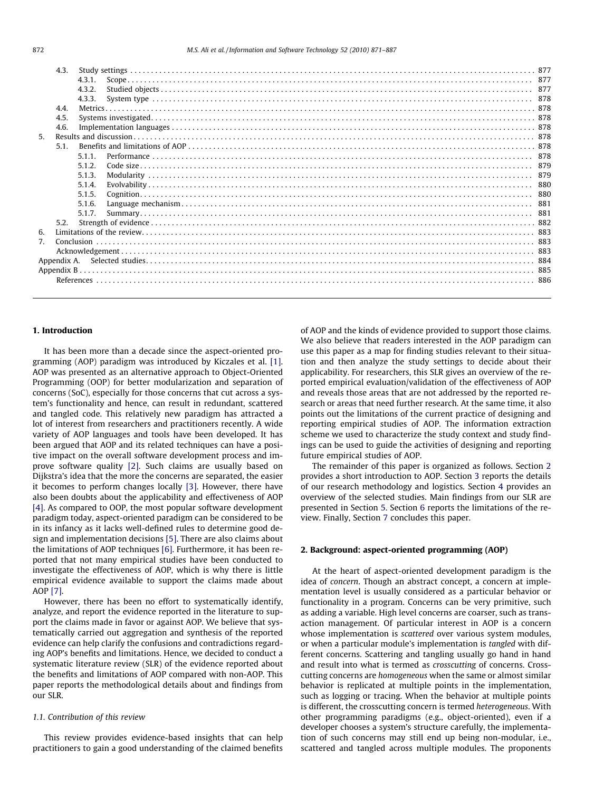|    | 4.3.        |        |  |
|----|-------------|--------|--|
|    |             | 4.3.1. |  |
|    |             | 4.3.2. |  |
|    |             | 4.3.3. |  |
|    | 4.4.        |        |  |
|    | 4.5.        |        |  |
|    | 4.6.        |        |  |
| 5. |             |        |  |
|    | 5.1.        |        |  |
|    |             | 5.1.1  |  |
|    |             | 5.1.2. |  |
|    |             | 5.1.3. |  |
|    |             | 5.1.4  |  |
|    |             | 5.1.5. |  |
|    |             | 5.1.6. |  |
|    |             | 5.1.7. |  |
|    | 5.2.        |        |  |
| 6. |             |        |  |
| 7. |             |        |  |
|    |             |        |  |
|    | Appendix A. |        |  |
|    |             |        |  |
|    |             |        |  |
|    |             |        |  |

## 1. Introduction

It has been more than a decade since the aspect-oriented programming (AOP) paradigm was introduced by Kiczales et al. [\[1\].](#page-15-0) AOP was presented as an alternative approach to Object-Oriented Programming (OOP) for better modularization and separation of concerns (SoC), especially for those concerns that cut across a system's functionality and hence, can result in redundant, scattered and tangled code. This relatively new paradigm has attracted a lot of interest from researchers and practitioners recently. A wide variety of AOP languages and tools have been developed. It has been argued that AOP and its related techniques can have a positive impact on the overall software development process and improve software quality [\[2\]](#page-15-0). Such claims are usually based on Dijkstra's idea that the more the concerns are separated, the easier it becomes to perform changes locally [\[3\]](#page-15-0). However, there have also been doubts about the applicability and effectiveness of AOP [\[4\]](#page-15-0). As compared to OOP, the most popular software development paradigm today, aspect-oriented paradigm can be considered to be in its infancy as it lacks well-defined rules to determine good design and implementation decisions [\[5\]](#page-15-0). There are also claims about the limitations of AOP techniques [\[6\].](#page-16-0) Furthermore, it has been reported that not many empirical studies have been conducted to investigate the effectiveness of AOP, which is why there is little empirical evidence available to support the claims made about AOP [\[7\].](#page-16-0)

However, there has been no effort to systematically identify, analyze, and report the evidence reported in the literature to support the claims made in favor or against AOP. We believe that systematically carried out aggregation and synthesis of the reported evidence can help clarify the confusions and contradictions regarding AOP's benefits and limitations. Hence, we decided to conduct a systematic literature review (SLR) of the evidence reported about the benefits and limitations of AOP compared with non-AOP. This paper reports the methodological details about and findings from our SLR.

## 1.1. Contribution of this review

<span id="page-1-0"></span>This review provides evidence-based insights that can help practitioners to gain a good understanding of the claimed benefits of AOP and the kinds of evidence provided to support those claims. We also believe that readers interested in the AOP paradigm can use this paper as a map for finding studies relevant to their situation and then analyze the study settings to decide about their applicability. For researchers, this SLR gives an overview of the reported empirical evaluation/validation of the effectiveness of AOP and reveals those areas that are not addressed by the reported research or areas that need further research. At the same time, it also points out the limitations of the current practice of designing and reporting empirical studies of AOP. The information extraction scheme we used to characterize the study context and study findings can be used to guide the activities of designing and reporting future empirical studies of AOP.

The remainder of this paper is organized as follows. Section [2](#page-1-0) provides a short introduction to AOP. Section [3](#page-2-0) reports the details of our research methodology and logistics. Section [4](#page-5-0) provides an overview of the selected studies. Main findings from our SLR are presented in Section [5.](#page-7-0) Section [6](#page-12-0) reports the limitations of the review. Finally, Section [7](#page-12-0) concludes this paper.

## 2. Background: aspect-oriented programming (AOP)

At the heart of aspect-oriented development paradigm is the idea of concern. Though an abstract concept, a concern at implementation level is usually considered as a particular behavior or functionality in a program. Concerns can be very primitive, such as adding a variable. High level concerns are coarser, such as transaction management. Of particular interest in AOP is a concern whose implementation is scattered over various system modules, or when a particular module's implementation is tangled with different concerns. Scattering and tangling usually go hand in hand and result into what is termed as crosscutting of concerns. Crosscutting concerns are homogeneous when the same or almost similar behavior is replicated at multiple points in the implementation, such as logging or tracing. When the behavior at multiple points is different, the crosscutting concern is termed heterogeneous. With other programming paradigms (e.g., object-oriented), even if a developer chooses a system's structure carefully, the implementation of such concerns may still end up being non-modular, i.e., scattered and tangled across multiple modules. The proponents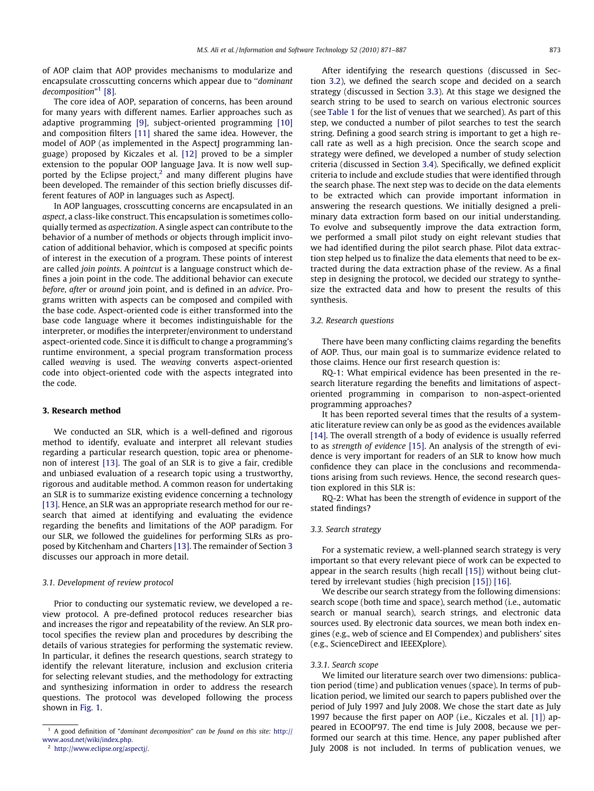of AOP claim that AOP provides mechanisms to modularize and encapsulate crosscutting concerns which appear due to ''dominant decomposition" [1](#page-2-0) [\[8\].](#page-16-0)

The core idea of AOP, separation of concerns, has been around for many years with different names. Earlier approaches such as adaptive programming [\[9\]](#page-16-0), subject-oriented programming [\[10\]](#page-16-0) and composition filters [\[11\]](#page-16-0) shared the same idea. However, the model of AOP (as implemented in the AspectJ programming language) proposed by Kiczales et al. [\[12\]](#page-16-0) proved to be a simpler extension to the popular OOP language Java. It is now well sup-ported by the Eclipse project,<sup>[2](#page-2-0)</sup> and many different plugins have been developed. The remainder of this section briefly discusses different features of AOP in languages such as AspectJ.

In AOP languages, crosscutting concerns are encapsulated in an aspect, a class-like construct. This encapsulation is sometimes colloquially termed as aspectization. A single aspect can contribute to the behavior of a number of methods or objects through implicit invocation of additional behavior, which is composed at specific points of interest in the execution of a program. These points of interest are called join points. A pointcut is a language construct which defines a join point in the code. The additional behavior can execute before, after or around join point, and is defined in an advice. Programs written with aspects can be composed and compiled with the base code. Aspect-oriented code is either transformed into the base code language where it becomes indistinguishable for the interpreter, or modifies the interpreter/environment to understand aspect-oriented code. Since it is difficult to change a programming's runtime environment, a special program transformation process called weaving is used. The weaving converts aspect-oriented code into object-oriented code with the aspects integrated into the code.

## 3. Research method

We conducted an SLR, which is a well-defined and rigorous method to identify, evaluate and interpret all relevant studies regarding a particular research question, topic area or phenomenon of interest [\[13\]](#page-16-0). The goal of an SLR is to give a fair, credible and unbiased evaluation of a research topic using a trustworthy, rigorous and auditable method. A common reason for undertaking an SLR is to summarize existing evidence concerning a technology [\[13\].](#page-16-0) Hence, an SLR was an appropriate research method for our research that aimed at identifying and evaluating the evidence regarding the benefits and limitations of the AOP paradigm. For our SLR, we followed the guidelines for performing SLRs as proposed by Kitchenham and Charters [\[13\].](#page-16-0) The remainder of Section [3](#page-2-0) discusses our approach in more detail.

## 3.1. Development of review protocol

Prior to conducting our systematic review, we developed a review protocol. A pre-defined protocol reduces researcher bias and increases the rigor and repeatability of the review. An SLR protocol specifies the review plan and procedures by describing the details of various strategies for performing the systematic review. In particular, it defines the research questions, search strategy to identify the relevant literature, inclusion and exclusion criteria for selecting relevant studies, and the methodology for extracting and synthesizing information in order to address the research questions. The protocol was developed following the process shown in [Fig. 1.](#page-3-0)

After identifying the research questions (discussed in Section [3.2\)](#page-2-0), we defined the search scope and decided on a search strategy (discussed in Section [3.3\)](#page-2-0). At this stage we designed the search string to be used to search on various electronic sources (see [Table 1](#page-3-0) for the list of venues that we searched). As part of this step, we conducted a number of pilot searches to test the search string. Defining a good search string is important to get a high recall rate as well as a high precision. Once the search scope and strategy were defined, we developed a number of study selection criteria (discussed in Section [3.4](#page-4-0)). Specifically, we defined explicit criteria to include and exclude studies that were identified through the search phase. The next step was to decide on the data elements to be extracted which can provide important information in answering the research questions. We initially designed a preliminary data extraction form based on our initial understanding. To evolve and subsequently improve the data extraction form, we performed a small pilot study on eight relevant studies that we had identified during the pilot search phase. Pilot data extraction step helped us to finalize the data elements that need to be extracted during the data extraction phase of the review. As a final step in designing the protocol, we decided our strategy to synthesize the extracted data and how to present the results of this synthesis.

#### 3.2. Research questions

There have been many conflicting claims regarding the benefits of AOP. Thus, our main goal is to summarize evidence related to those claims. Hence our first research question is:

RQ-1: What empirical evidence has been presented in the research literature regarding the benefits and limitations of aspectoriented programming in comparison to non-aspect-oriented programming approaches?

It has been reported several times that the results of a systematic literature review can only be as good as the evidences available [\[14\]](#page-16-0). The overall strength of a body of evidence is usually referred to as strength of evidence [\[15\].](#page-16-0) An analysis of the strength of evidence is very important for readers of an SLR to know how much confidence they can place in the conclusions and recommendations arising from such reviews. Hence, the second research question explored in this SLR is:

RQ-2: What has been the strength of evidence in support of the stated findings?

#### 3.3. Search strategy

For a systematic review, a well-planned search strategy is very important so that every relevant piece of work can be expected to appear in the search results (high recall [\[15\]\)](#page-16-0) without being cluttered by irrelevant studies (high precision [\[15\]\)](#page-16-0) [\[16\].](#page-16-0)

We describe our search strategy from the following dimensions: search scope (both time and space), search method (i.e., automatic search or manual search), search strings, and electronic data sources used. By electronic data sources, we mean both index engines (e.g., web of science and EI Compendex) and publishers' sites (e.g., ScienceDirect and IEEEXplore).

#### 3.3.1. Search scope

We limited our literature search over two dimensions: publication period (time) and publication venues (space). In terms of publication period, we limited our search to papers published over the period of July 1997 and July 2008. We chose the start date as July 1997 because the first paper on AOP (i.e., Kiczales et al. [\[1\]\)](#page-15-0) appeared in ECOOP'97. The end time is July 2008, because we performed our search at this time. Hence, any paper published after July 2008 is not included. In terms of publication venues, we

<sup>&</sup>lt;sup>1</sup> A good definition of "dominant decomposition" can be found on this site: [http://](http://www.aosd.net/wiki/index.php) [www.aosd.net/wiki/index.php.](http://www.aosd.net/wiki/index.php)

<span id="page-2-0"></span><sup>2</sup> <http://www.eclipse.org/aspectj/>.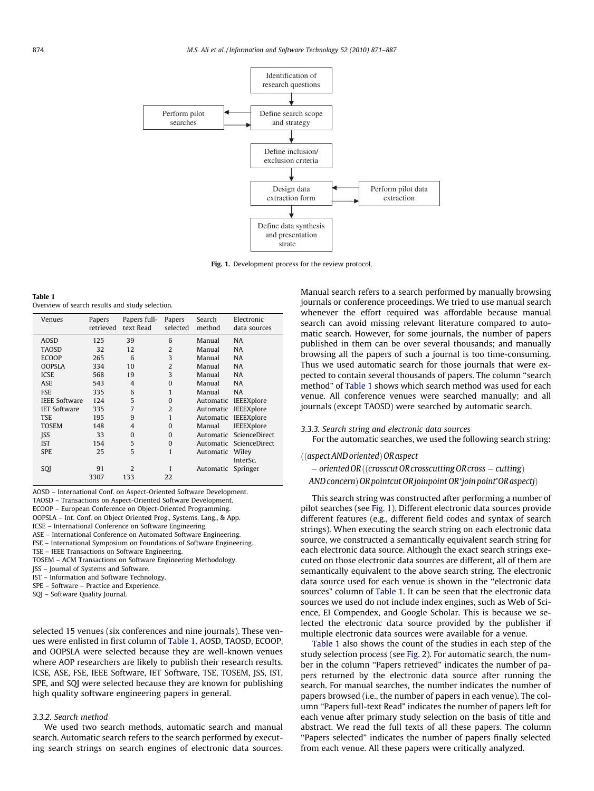

Fig. 1. Development process for the review protocol.

Table 1 Overview of search results and study selection.

| Venues               | Papers<br>retrieved | Papers full-<br>text Read | Papers<br>selected | Search<br>method | Electronic<br>data sources |
|----------------------|---------------------|---------------------------|--------------------|------------------|----------------------------|
| AOSD                 | 125                 | 39                        | 6                  | Manual           | NA.                        |
| <b>TAOSD</b>         | 32                  | 12                        | 2                  | Manual           | NA.                        |
| <b>ECOOP</b>         | 265                 | 6                         | 3                  | Manual           | NA                         |
| <b>OOPSLA</b>        | 334                 | 10                        | $\overline{2}$     | Manual           | NA.                        |
| <b>ICSE</b>          | 568                 | 19                        | 3                  | Manual           | NA.                        |
| <b>ASE</b>           | 543                 | 4                         | $\Omega$           | Manual           | NA.                        |
| <b>FSE</b>           | 335                 | 6                         | 1                  | Manual           | NA.                        |
| <b>IEEE Software</b> | 124                 | 5                         | $\Omega$           | Automatic        | <b>IEEEXplore</b>          |
| <b>IET Software</b>  | 335                 | 7                         | $\overline{2}$     | Automatic        | IEEEXplore                 |
| <b>TSE</b>           | 195                 | 9                         | 1                  | Automatic        | <b>IEEEXplore</b>          |
| <b>TOSEM</b>         | 148                 | $\overline{4}$            | $\Omega$           | Manual           | <b>IEEEXplore</b>          |
| <b>JSS</b>           | 33                  | $\bf{0}$                  | $\Omega$           | Automatic        | ScienceDirect              |
| <b>IST</b>           | 154                 | 5                         | $\Omega$           |                  | Automatic ScienceDirect    |
| <b>SPE</b>           | 25                  | 5                         | 1                  | Automatic        | Wiley                      |
|                      |                     |                           |                    |                  | InterSc.                   |
| SQJ                  | 91                  | 2                         | 1                  | Automatic        | Springer                   |
|                      | 3307                | 133                       | 22                 |                  |                            |

AOSD – International Conf. on Aspect-Oriented Software Development. TAOSD – Transactions on Aspect-Oriented Software Development. ECOOP – European Conference on Object-Oriented Programming.

OOPSLA – Int. Conf. on Object Oriented Prog., Systems, Lang., & App.

ICSE – International Conference on Software Engineering.

ASE – International Conference on Automated Software Engineering.

FSE – International Symposium on Foundations of Software Engineering. TSE – IEEE Transactions on Software Engineering.

TOSEM – ACM Transactions on Software Engineering Methodology.

JSS – Journal of Systems and Software.

IST – Information and Software Technology.

SPE – Software – Practice and Experience.

SQJ – Software Quality Journal.

selected 15 venues (six conferences and nine journals). These venues were enlisted in first column of [Table 1](#page-3-0). AOSD, TAOSD, ECOOP, and OOPSLA were selected because they are well-known venues where AOP researchers are likely to publish their research results. ICSE, ASE, FSE, IEEE Software, IET Software, TSE, TOSEM, JSS, IST, SPE, and SQJ were selected because they are known for publishing high quality software engineering papers in general.

## 3.3.2. Search method

<span id="page-3-0"></span>We used two search methods, automatic search and manual search. Automatic search refers to the search performed by executing search strings on search engines of electronic data sources.

Manual search refers to a search performed by manually browsing journals or conference proceedings. We tried to use manual search whenever the effort required was affordable because manual search can avoid missing relevant literature compared to automatic search. However, for some journals, the number of papers published in them can be over several thousands; and manually browsing all the papers of such a journal is too time-consuming. Thus we used automatic search for those journals that were expected to contain several thousands of papers. The column ''search method" of [Table 1](#page-3-0) shows which search method was used for each venue. All conference venues were searched manually; and all journals (except TAOSD) were searched by automatic search.

#### 3.3.3. Search string and electronic data sources

For the automatic searches, we used the following search string:

## $((aspect AND oriented) OR aspect$

 $-$  oriented OR((crosscut OR crosscutting OR cross  $-$  cutting)

AND concern) OR pointcut OR joinpoint OR'join point'OR aspectj)

This search string was constructed after performing a number of pilot searches (see [Fig. 1\)](#page-3-0). Different electronic data sources provide different features (e.g., different field codes and syntax of search strings). When executing the search string on each electronic data source, we constructed a semantically equivalent search string for each electronic data source. Although the exact search strings executed on those electronic data sources are different, all of them are semantically equivalent to the above search string. The electronic data source used for each venue is shown in the ''electronic data sources" column of [Table 1.](#page-3-0) It can be seen that the electronic data sources we used do not include index engines, such as Web of Science, EI Compendex, and Google Scholar. This is because we selected the electronic data source provided by the publisher if multiple electronic data sources were available for a venue.

[Table 1](#page-3-0) also shows the count of the studies in each step of the study selection process (see [Fig. 2\)](#page-4-0). For automatic search, the number in the column ''Papers retrieved" indicates the number of papers returned by the electronic data source after running the search. For manual searches, the number indicates the number of papers browsed (i.e., the number of papers in each venue). The column ''Papers full-text Read" indicates the number of papers left for each venue after primary study selection on the basis of title and abstract. We read the full texts of all these papers. The column ''Papers selected" indicates the number of papers finally selected from each venue. All these papers were critically analyzed.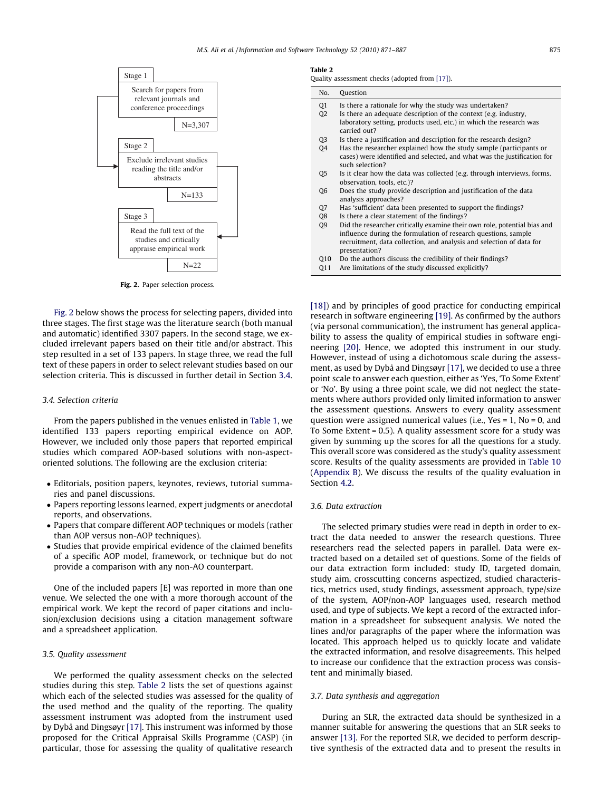

Fig. 2. Paper selection process.

[Fig. 2](#page-4-0) below shows the process for selecting papers, divided into three stages. The first stage was the literature search (both manual and automatic) identified 3307 papers. In the second stage, we excluded irrelevant papers based on their title and/or abstract. This step resulted in a set of 133 papers. In stage three, we read the full text of these papers in order to select relevant studies based on our selection criteria. This is discussed in further detail in Section [3.4](#page-4-0).

## 3.4. Selection criteria

From the papers published in the venues enlisted in [Table 1](#page-3-0), we identified 133 papers reporting empirical evidence on AOP. However, we included only those papers that reported empirical studies which compared AOP-based solutions with non-aspectoriented solutions. The following are the exclusion criteria:

- Editorials, position papers, keynotes, reviews, tutorial summaries and panel discussions.
- Papers reporting lessons learned, expert judgments or anecdotal reports, and observations.
- Papers that compare different AOP techniques or models (rather than AOP versus non-AOP techniques).
- Studies that provide empirical evidence of the claimed benefits of a specific AOP model, framework, or technique but do not provide a comparison with any non-AO counterpart.

One of the included papers [E] was reported in more than one venue. We selected the one with a more thorough account of the empirical work. We kept the record of paper citations and inclusion/exclusion decisions using a citation management software and a spreadsheet application.

## 3.5. Quality assessment

<span id="page-4-0"></span>We performed the quality assessment checks on the selected studies during this step. [Table 2](#page-4-0) lists the set of questions against which each of the selected studies was assessed for the quality of the used method and the quality of the reporting. The quality assessment instrument was adopted from the instrument used by Dybå and Dingsøyr [\[17\]](#page-16-0). This instrument was informed by those proposed for the Critical Appraisal Skills Programme (CASP) (in particular, those for assessing the quality of qualitative research

#### Table 2

Quality assessment checks (adopted from [\[17\]\)](#page-16-0).

| No.                  | Question                                                                                                                                                                                                                            |
|----------------------|-------------------------------------------------------------------------------------------------------------------------------------------------------------------------------------------------------------------------------------|
| Q1<br>Q <sub>2</sub> | Is there a rationale for why the study was undertaken?<br>Is there an adequate description of the context (e.g. industry,<br>laboratory setting, products used, etc.) in which the research was<br>carried out?                     |
| Q3                   | Is there a justification and description for the research design?                                                                                                                                                                   |
| Q4                   | Has the researcher explained how the study sample (participants or<br>cases) were identified and selected, and what was the justification for<br>such selection?                                                                    |
| Q <sub>5</sub>       | Is it clear how the data was collected (e.g. through interviews, forms,<br>observation, tools, etc.)?                                                                                                                               |
| Q6                   | Does the study provide description and justification of the data<br>analysis approaches?                                                                                                                                            |
| Q7                   | Has 'sufficient' data been presented to support the findings?                                                                                                                                                                       |
| Q8                   | Is there a clear statement of the findings?                                                                                                                                                                                         |
| Q9                   | Did the researcher critically examine their own role, potential bias and<br>influence during the formulation of research questions, sample<br>recruitment, data collection, and analysis and selection of data for<br>presentation? |
| O10                  | Do the authors discuss the credibility of their findings?                                                                                                                                                                           |

Q11 Are limitations of the study discussed explicitly?

[\[18\]](#page-16-0)) and by principles of good practice for conducting empirical research in software engineering [\[19\]](#page-16-0). As confirmed by the authors (via personal communication), the instrument has general applicability to assess the quality of empirical studies in software engineering [\[20\].](#page-16-0) Hence, we adopted this instrument in our study. However, instead of using a dichotomous scale during the assessment, as used by Dybå and Dingsøyr [\[17\]](#page-16-0), we decided to use a three point scale to answer each question, either as 'Yes, 'To Some Extent' or 'No'. By using a three point scale, we did not neglect the statements where authors provided only limited information to answer the assessment questions. Answers to every quality assessment question were assigned numerical values (i.e., Yes = 1, No = 0, and To Some Extent = 0.5). A quality assessment score for a study was given by summing up the scores for all the questions for a study. This overall score was considered as the study's quality assessment score. Results of the quality assessments are provided in [Table 10](#page-13-0) (Appendix B). We discuss the results of the quality evaluation in Section [4.2](#page-5-0).

#### 3.6. Data extraction

The selected primary studies were read in depth in order to extract the data needed to answer the research questions. Three researchers read the selected papers in parallel. Data were extracted based on a detailed set of questions. Some of the fields of our data extraction form included: study ID, targeted domain, study aim, crosscutting concerns aspectized, studied characteristics, metrics used, study findings, assessment approach, type/size of the system, AOP/non-AOP languages used, research method used, and type of subjects. We kept a record of the extracted information in a spreadsheet for subsequent analysis. We noted the lines and/or paragraphs of the paper where the information was located. This approach helped us to quickly locate and validate the extracted information, and resolve disagreements. This helped to increase our confidence that the extraction process was consistent and minimally biased.

#### 3.7. Data synthesis and aggregation

During an SLR, the extracted data should be synthesized in a manner suitable for answering the questions that an SLR seeks to answer [\[13\].](#page-16-0) For the reported SLR, we decided to perform descriptive synthesis of the extracted data and to present the results in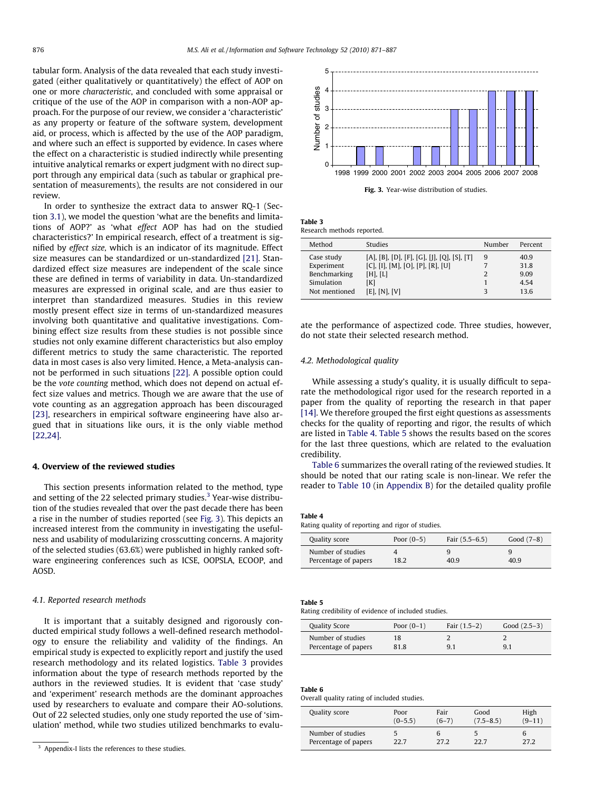tabular form. Analysis of the data revealed that each study investigated (either qualitatively or quantitatively) the effect of AOP on one or more characteristic, and concluded with some appraisal or critique of the use of the AOP in comparison with a non-AOP approach. For the purpose of our review, we consider a 'characteristic' as any property or feature of the software system, development aid, or process, which is affected by the use of the AOP paradigm, and where such an effect is supported by evidence. In cases where the effect on a characteristic is studied indirectly while presenting intuitive analytical remarks or expert judgment with no direct support through any empirical data (such as tabular or graphical presentation of measurements), the results are not considered in our review.

In order to synthesize the extract data to answer RQ-1 (Section [3.1\)](#page-2-0), we model the question 'what are the benefits and limitations of AOP?' as 'what effect AOP has had on the studied characteristics?' In empirical research, effect of a treatment is signified by effect size, which is an indicator of its magnitude. Effect size measures can be standardized or un-standardized [\[21\]](#page-16-0). Standardized effect size measures are independent of the scale since these are defined in terms of variability in data. Un-standardized measures are expressed in original scale, and are thus easier to interpret than standardized measures. Studies in this review mostly present effect size in terms of un-standardized measures involving both quantitative and qualitative investigations. Combining effect size results from these studies is not possible since studies not only examine different characteristics but also employ different metrics to study the same characteristic. The reported data in most cases is also very limited. Hence, a Meta-analysis cannot be performed in such situations [\[22\].](#page-16-0) A possible option could be the vote counting method, which does not depend on actual effect size values and metrics. Though we are aware that the use of vote counting as an aggregation approach has been discouraged [\[23\]](#page-16-0), researchers in empirical software engineering have also argued that in situations like ours, it is the only viable method [\[22,24\].](#page-16-0)

## 4. Overview of the reviewed studies

This section presents information related to the method, type and setting of the 22 selected primary studies.<sup>3</sup> Year-wise distribution of the studies revealed that over the past decade there has been a rise in the number of studies reported (see [Fig. 3\)](#page-5-0). This depicts an increased interest from the community in investigating the usefulness and usability of modularizing crosscutting concerns. A majority of the selected studies (63.6%) were published in highly ranked software engineering conferences such as ICSE, OOPSLA, ECOOP, and AOSD.

#### 4.1. Reported research methods

It is important that a suitably designed and rigorously conducted empirical study follows a well-defined research methodology to ensure the reliability and validity of the findings. An empirical study is expected to explicitly report and justify the used research methodology and its related logistics. [Table 3](#page-5-0) provides information about the type of research methods reported by the authors in the reviewed studies. It is evident that 'case study' and 'experiment' research methods are the dominant approaches used by researchers to evaluate and compare their AO-solutions. Out of 22 selected studies, only one study reported the use of 'simulation' method, while two studies utilized benchmarks to evalu-



Fig. 3. Year-wise distribution of studies.

| Table 3 |                            |  |
|---------|----------------------------|--|
|         | Research methods reported. |  |

| Method                                                 | <b>Studies</b>                                                                                      | Number | Percent                      |
|--------------------------------------------------------|-----------------------------------------------------------------------------------------------------|--------|------------------------------|
| Case study<br>Experiment<br>Benchmarking<br>Simulation | [A], [B], [D], [F], [G], [J], [Q], [S], [T]<br>[C], [1], [M], [O], [P], [R], [U]<br>[H], [L]<br>[K] | 9<br>2 | 40.9<br>31.8<br>9.09<br>4.54 |
| Not mentioned                                          | $[E]$ , $[N]$ , $[V]$                                                                               | 3      | 13.6                         |

ate the performance of aspectized code. Three studies, however, do not state their selected research method.

## 4.2. Methodological quality

While assessing a study's quality, it is usually difficult to separate the methodological rigor used for the research reported in a paper from the quality of reporting the research in that paper [\[14\]](#page-16-0). We therefore grouped the first eight questions as assessments checks for the quality of reporting and rigor, the results of which are listed in [Table 4](#page-5-0). [Table 5](#page-5-0) shows the results based on the scores for the last three questions, which are related to the evaluation credibility.

[Table 6](#page-5-0) summarizes the overall rating of the reviewed studies. It should be noted that our rating scale is non-linear. We refer the reader to [Table 10](#page-13-0) (in Appendix B) for the detailed quality profile

#### Table 4

Rating quality of reporting and rigor of studies.

| Quality score                             | Poor $(0-5)$ | Fair $(5.5 - 6.5)$ | Good $(7-8)$ |
|-------------------------------------------|--------------|--------------------|--------------|
| Number of studies<br>Percentage of papers | 18.2         | 40.9               | 40.9         |

#### Table 5

Rating credibility of evidence of included studies.

| <b>Quality Score</b>                      | Poor $(0-1)$ | Fair $(1.5-2)$ | Good $(2.5-3)$ |
|-------------------------------------------|--------------|----------------|----------------|
| Number of studies<br>Percentage of papers | 18<br>81.8   | 9.1            | 9.1            |

## Table 6

Overall quality rating of included studies.

| Quality score                             | Poor      | Fair    | Good          | High       |
|-------------------------------------------|-----------|---------|---------------|------------|
|                                           | $(0-5.5)$ | $(6-7)$ | $(7.5 - 8.5)$ | $(9 - 11)$ |
| Number of studies<br>Percentage of papers | 22.7      | 27.2    | 22.7          | 27.2       |

<span id="page-5-0"></span><sup>&</sup>lt;sup>3</sup> Appendix-I lists the references to these studies.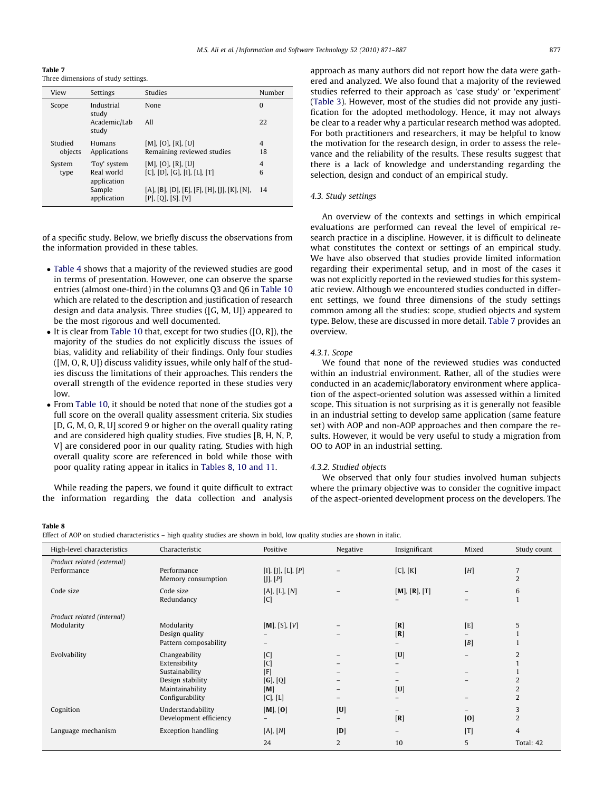Table 7 Three dimensions of study settings.

| View    | Settings                  | <b>Studies</b>                                                     | Number         |
|---------|---------------------------|--------------------------------------------------------------------|----------------|
| Scope   | Industrial<br>study       | None                                                               | $\Omega$       |
|         | Academic/Lab<br>study     | All                                                                | 22             |
| Studied | Humans                    | [M], [O], [R], [U]                                                 | $\overline{4}$ |
| objects | <b>Applications</b>       | Remaining reviewed studies                                         | 18             |
| System  | 'Toy' system              | [M], [O], [R], [U]                                                 | $\overline{4}$ |
| type    | Real world<br>application | [C], [D], [G], [I], [L], [T]                                       | 6              |
|         | Sample<br>application     | [A], [B], [D], [E], [F], [H], [J], [K], [N],<br>[P], [Q], [S], [V] | 14             |

of a specific study. Below, we briefly discuss the observations from the information provided in these tables.

- [Table 4](#page-5-0) shows that a majority of the reviewed studies are good in terms of presentation. However, one can observe the sparse entries (almost one-third) in the columns Q3 and Q6 in [Table 10](#page-13-0) which are related to the description and justification of research design and data analysis. Three studies ([G, M, U]) appeared to be the most rigorous and well documented.
- $\bullet$  It is clear from [Table 10](#page-13-0) that, except for two studies ([O, R]), the majority of the studies do not explicitly discuss the issues of bias, validity and reliability of their findings. Only four studies ([M, O, R, U]) discuss validity issues, while only half of the studies discuss the limitations of their approaches. This renders the overall strength of the evidence reported in these studies very low.
- From [Table 10](#page-13-0), it should be noted that none of the studies got a full score on the overall quality assessment criteria. Six studies [D, G, M, O, R, U] scored 9 or higher on the overall quality rating and are considered high quality studies. Five studies [B, H, N, P, V] are considered poor in our quality rating. Studies with high overall quality score are referenced in bold while those with poor quality rating appear in italics in [Tables 8, 10 and 11](#page-6-0).

While reading the papers, we found it quite difficult to extract the information regarding the data collection and analysis

approach as many authors did not report how the data were gathered and analyzed. We also found that a majority of the reviewed studies referred to their approach as 'case study' or 'experiment' ([Table 3](#page-5-0)). However, most of the studies did not provide any justification for the adopted methodology. Hence, it may not always be clear to a reader why a particular research method was adopted. For both practitioners and researchers, it may be helpful to know the motivation for the research design, in order to assess the relevance and the reliability of the results. These results suggest that there is a lack of knowledge and understanding regarding the selection, design and conduct of an empirical study.

## 4.3. Study settings

An overview of the contexts and settings in which empirical evaluations are performed can reveal the level of empirical research practice in a discipline. However, it is difficult to delineate what constitutes the context or settings of an empirical study. We have also observed that studies provide limited information regarding their experimental setup, and in most of the cases it was not explicitly reported in the reviewed studies for this systematic review. Although we encountered studies conducted in different settings, we found three dimensions of the study settings common among all the studies: scope, studied objects and system type. Below, these are discussed in more detail. [Table 7](#page-6-0) provides an overview.

#### 4.3.1. Scope

We found that none of the reviewed studies was conducted within an industrial environment. Rather, all of the studies were conducted in an academic/laboratory environment where application of the aspect-oriented solution was assessed within a limited scope. This situation is not surprising as it is generally not feasible in an industrial setting to develop same application (same feature set) with AOP and non-AOP approaches and then compare the results. However, it would be very useful to study a migration from OO to AOP in an industrial setting.

#### 4.3.2. Studied objects

We observed that only four studies involved human subjects where the primary objective was to consider the cognitive impact of the aspect-oriented development process on the developers. The

#### Table 8

Effect of AOP on studied characteristics – high quality studies are shown in bold, low quality studies are shown in italic.

<span id="page-6-0"></span>

| High-level characteristics                | Characteristic                                                                                             | Positive                                         | Negative                        | Insignificant                   | Mixed                    | Study count                                             |
|-------------------------------------------|------------------------------------------------------------------------------------------------------------|--------------------------------------------------|---------------------------------|---------------------------------|--------------------------|---------------------------------------------------------|
| Product related (external)<br>Performance | Performance<br>Memory consumption                                                                          | [I], [J], [L], [P]<br>[J], [P]                   |                                 | [C], [K]                        | [H]                      | 7<br>2                                                  |
| Code size                                 | Code size<br>Redundancy                                                                                    | [A], [L], [N]<br>[C]                             | $\overline{\phantom{0}}$        | [M], [R], [T]                   |                          | 6                                                       |
| Product related (internal)                |                                                                                                            |                                                  |                                 |                                 |                          |                                                         |
| Modularity                                | Modularity<br>Design quality<br>Pattern composability                                                      | [M], [S], [V]                                    |                                 | [R]<br>[R]<br>-                 | [E]<br>[B]               | 5                                                       |
| Evolvability                              | Changeability<br>Extensibility<br>Sustainability<br>Design stability<br>Maintainability<br>Configurability | [C]<br>[C]<br>[F]<br>[G], [Q]<br>[M]<br>[C], [L] |                                 | [U]<br>-<br>[U]<br>-            | $\overline{\phantom{0}}$ | 2<br>$\overline{2}$<br>$\overline{2}$<br>$\overline{2}$ |
| Cognition                                 | Understandability<br>Development efficiency                                                                | [M], [O]<br>-                                    | [U]<br>$\overline{\phantom{0}}$ | $\overline{\phantom{0}}$<br>[R] | [0]                      | 3<br>$\overline{2}$                                     |
| Language mechanism                        | <b>Exception handling</b>                                                                                  | [A], [N]                                         | [D]                             | $\qquad \qquad -$               | [T]                      | 4                                                       |
|                                           |                                                                                                            | 24                                               | 2                               | 10                              | 5                        | Total: 42                                               |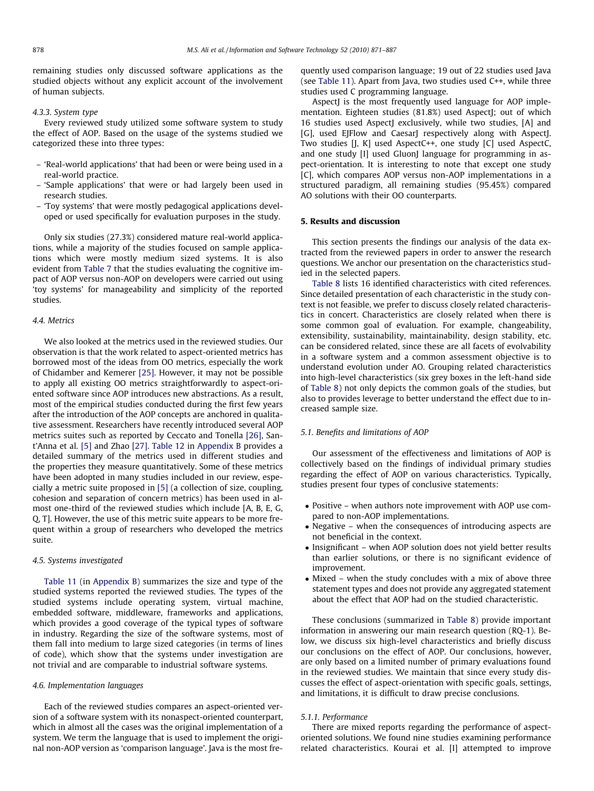remaining studies only discussed software applications as the studied objects without any explicit account of the involvement of human subjects.

## 4.3.3. System type

Every reviewed study utilized some software system to study the effect of AOP. Based on the usage of the systems studied we categorized these into three types:

- 'Real-world applications' that had been or were being used in a real-world practice.
- 'Sample applications' that were or had largely been used in research studies.
- 'Toy systems' that were mostly pedagogical applications developed or used specifically for evaluation purposes in the study.

Only six studies (27.3%) considered mature real-world applications, while a majority of the studies focused on sample applications which were mostly medium sized systems. It is also evident from [Table 7](#page-6-0) that the studies evaluating the cognitive impact of AOP versus non-AOP on developers were carried out using 'toy systems' for manageability and simplicity of the reported studies.

## 4.4 Metrics

We also looked at the metrics used in the reviewed studies. Our observation is that the work related to aspect-oriented metrics has borrowed most of the ideas from OO metrics, especially the work of Chidamber and Kemerer [\[25\].](#page-16-0) However, it may not be possible to apply all existing OO metrics straightforwardly to aspect-oriented software since AOP introduces new abstractions. As a result, most of the empirical studies conducted during the first few years after the introduction of the AOP concepts are anchored in qualitative assessment. Researchers have recently introduced several AOP metrics suites such as reported by Ceccato and Tonella [\[26\]](#page-16-0), Sant'Anna et al. [\[5\]](#page-15-0) and Zhao [\[27\].](#page-16-0) [Table 12](#page-15-0) in Appendix B provides a detailed summary of the metrics used in different studies and the properties they measure quantitatively. Some of these metrics have been adopted in many studies included in our review, especially a metric suite proposed in [\[5\]](#page-15-0) (a collection of size, coupling, cohesion and separation of concern metrics) has been used in almost one-third of the reviewed studies which include [A, B, E, G, Q, T]. However, the use of this metric suite appears to be more frequent within a group of researchers who developed the metrics suite.

## 4.5. Systems investigated

[Table 11](#page-14-0) (in Appendix B) summarizes the size and type of the studied systems reported the reviewed studies. The types of the studied systems include operating system, virtual machine, embedded software, middleware, frameworks and applications, which provides a good coverage of the typical types of software in industry. Regarding the size of the software systems, most of them fall into medium to large sized categories (in terms of lines of code), which show that the systems under investigation are not trivial and are comparable to industrial software systems.

#### 4.6. Implementation languages

<span id="page-7-0"></span>Each of the reviewed studies compares an aspect-oriented version of a software system with its nonaspect-oriented counterpart, which in almost all the cases was the original implementation of a system. We term the language that is used to implement the original non-AOP version as 'comparison language'. Java is the most fre-

quently used comparison language; 19 out of 22 studies used Java (see [Table 11](#page-14-0)). Apart from Java, two studies used C++, while three studies used C programming language.

AspectJ is the most frequently used language for AOP implementation. Eighteen studies (81.8%) used AspectJ; out of which 16 studies used AspectJ exclusively, while two studies, [A] and [G], used EJFlow and CaesarJ respectively along with AspectJ. Two studies [J, K] used AspectC++, one study [C] used AspectC, and one study [I] used GluonJ language for programming in aspect-orientation. It is interesting to note that except one study [C], which compares AOP versus non-AOP implementations in a structured paradigm, all remaining studies (95.45%) compared AO solutions with their OO counterparts.

#### 5. Results and discussion

This section presents the findings our analysis of the data extracted from the reviewed papers in order to answer the research questions. We anchor our presentation on the characteristics studied in the selected papers.

[Table 8](#page-6-0) lists 16 identified characteristics with cited references. Since detailed presentation of each characteristic in the study context is not feasible, we prefer to discuss closely related characteristics in concert. Characteristics are closely related when there is some common goal of evaluation. For example, changeability, extensibility, sustainability, maintainability, design stability, etc. can be considered related, since these are all facets of evolvability in a software system and a common assessment objective is to understand evolution under AO. Grouping related characteristics into high-level characteristics (six grey boxes in the left-hand side of [Table 8\)](#page-6-0) not only depicts the common goals of the studies, but also to provides leverage to better understand the effect due to increased sample size.

## 5.1. Benefits and limitations of AOP

Our assessment of the effectiveness and limitations of AOP is collectively based on the findings of individual primary studies regarding the effect of AOP on various characteristics. Typically, studies present four types of conclusive statements:

- Positive when authors note improvement with AOP use compared to non-AOP implementations.
- Negative when the consequences of introducing aspects are not beneficial in the context.
- Insignificant when AOP solution does not yield better results than earlier solutions, or there is no significant evidence of improvement.
- Mixed when the study concludes with a mix of above three statement types and does not provide any aggregated statement about the effect that AOP had on the studied characteristic.

These conclusions (summarized in [Table 8\)](#page-6-0) provide important information in answering our main research question (RQ-1). Below, we discuss six high-level characteristics and briefly discuss our conclusions on the effect of AOP. Our conclusions, however, are only based on a limited number of primary evaluations found in the reviewed studies. We maintain that since every study discusses the effect of aspect-orientation with specific goals, settings, and limitations, it is difficult to draw precise conclusions.

#### 5.1.1. Performance

There are mixed reports regarding the performance of aspectoriented solutions. We found nine studies examining performance related characteristics. Kourai et al. [I] attempted to improve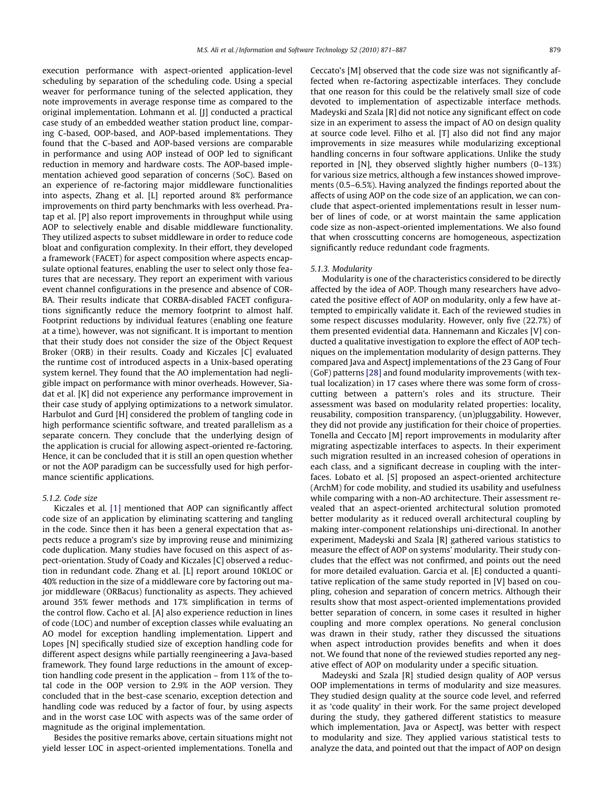execution performance with aspect-oriented application-level scheduling by separation of the scheduling code. Using a special weaver for performance tuning of the selected application, they note improvements in average response time as compared to the original implementation. Lohmann et al. [J] conducted a practical case study of an embedded weather station product line, comparing C-based, OOP-based, and AOP-based implementations. They found that the C-based and AOP-based versions are comparable in performance and using AOP instead of OOP led to significant reduction in memory and hardware costs. The AOP-based implementation achieved good separation of concerns (SoC). Based on an experience of re-factoring major middleware functionalities into aspects, Zhang et al. [L] reported around 8% performance improvements on third party benchmarks with less overhead. Pratap et al. [P] also report improvements in throughput while using AOP to selectively enable and disable middleware functionality. They utilized aspects to subset middleware in order to reduce code bloat and configuration complexity. In their effort, they developed a framework (FACET) for aspect composition where aspects encapsulate optional features, enabling the user to select only those features that are necessary. They report an experiment with various event channel configurations in the presence and absence of COR-BA. Their results indicate that CORBA-disabled FACET configurations significantly reduce the memory footprint to almost half. Footprint reductions by individual features (enabling one feature at a time), however, was not significant. It is important to mention that their study does not consider the size of the Object Request Broker (ORB) in their results. Coady and Kiczales [C] evaluated the runtime cost of introduced aspects in a Unix-based operating system kernel. They found that the AO implementation had negligible impact on performance with minor overheads. However, Siadat et al. [K] did not experience any performance improvement in their case study of applying optimizations to a network simulator. Harbulot and Gurd [H] considered the problem of tangling code in high performance scientific software, and treated parallelism as a separate concern. They conclude that the underlying design of the application is crucial for allowing aspect-oriented re-factoring. Hence, it can be concluded that it is still an open question whether or not the AOP paradigm can be successfully used for high performance scientific applications.

## 5.1.2. Code size

Kiczales et al. [\[1\]](#page-15-0) mentioned that AOP can significantly affect code size of an application by eliminating scattering and tangling in the code. Since then it has been a general expectation that aspects reduce a program's size by improving reuse and minimizing code duplication. Many studies have focused on this aspect of aspect-orientation. Study of Coady and Kiczales [C] observed a reduction in redundant code. Zhang et al. [L] report around 10KLOC or 40% reduction in the size of a middleware core by factoring out major middleware (ORBacus) functionality as aspects. They achieved around 35% fewer methods and 17% simplification in terms of the control flow. Cacho et al. [A] also experience reduction in lines of code (LOC) and number of exception classes while evaluating an AO model for exception handling implementation. Lippert and Lopes [N] specifically studied size of exception handling code for different aspect designs while partially reengineering a Java-based framework. They found large reductions in the amount of exception handling code present in the application – from 11% of the total code in the OOP version to 2.9% in the AOP version. They concluded that in the best-case scenario, exception detection and handling code was reduced by a factor of four, by using aspects and in the worst case LOC with aspects was of the same order of magnitude as the original implementation.

Besides the positive remarks above, certain situations might not yield lesser LOC in aspect-oriented implementations. Tonella and Ceccato's [M] observed that the code size was not significantly affected when re-factoring aspectizable interfaces. They conclude that one reason for this could be the relatively small size of code devoted to implementation of aspectizable interface methods. Madeyski and Szala [R] did not notice any significant effect on code size in an experiment to assess the impact of AO on design quality at source code level. Filho et al. [T] also did not find any major improvements in size measures while modularizing exceptional handling concerns in four software applications. Unlike the study reported in [N], they observed slightly higher numbers (0–13%) for various size metrics, although a few instances showed improvements (0.5–6.5%). Having analyzed the findings reported about the affects of using AOP on the code size of an application, we can conclude that aspect-oriented implementations result in lesser number of lines of code, or at worst maintain the same application code size as non-aspect-oriented implementations. We also found that when crosscutting concerns are homogeneous, aspectization significantly reduce redundant code fragments.

## 5.1.3. Modularity

Modularity is one of the characteristics considered to be directly affected by the idea of AOP. Though many researchers have advocated the positive effect of AOP on modularity, only a few have attempted to empirically validate it. Each of the reviewed studies in some respect discusses modularity. However, only five (22.7%) of them presented evidential data. Hannemann and Kiczales [V] conducted a qualitative investigation to explore the effect of AOP techniques on the implementation modularity of design patterns. They compared Java and AspectJ implementations of the 23 Gang of Four (GoF) patterns [\[28\]](#page-16-0) and found modularity improvements (with textual localization) in 17 cases where there was some form of crosscutting between a pattern's roles and its structure. Their assessment was based on modularity related properties: locality, reusability, composition transparency, (un)pluggability. However, they did not provide any justification for their choice of properties. Tonella and Ceccato [M] report improvements in modularity after migrating aspectizable interfaces to aspects. In their experiment such migration resulted in an increased cohesion of operations in each class, and a significant decrease in coupling with the interfaces. Lobato et al. [S] proposed an aspect-oriented architecture (ArchM) for code mobility, and studied its usability and usefulness while comparing with a non-AO architecture. Their assessment revealed that an aspect-oriented architectural solution promoted better modularity as it reduced overall architectural coupling by making inter-component relationships uni-directional. In another experiment, Madeyski and Szala [R] gathered various statistics to measure the effect of AOP on systems' modularity. Their study concludes that the effect was not confirmed, and points out the need for more detailed evaluation. Garcia et al. [E] conducted a quantitative replication of the same study reported in [V] based on coupling, cohesion and separation of concern metrics. Although their results show that most aspect-oriented implementations provided better separation of concern, in some cases it resulted in higher coupling and more complex operations. No general conclusion was drawn in their study, rather they discussed the situations when aspect introduction provides benefits and when it does not. We found that none of the reviewed studies reported any negative effect of AOP on modularity under a specific situation.

Madeyski and Szala [R] studied design quality of AOP versus OOP implementations in terms of modularity and size measures. They studied design quality at the source code level, and referred it as 'code quality' in their work. For the same project developed during the study, they gathered different statistics to measure which implementation, Java or AspectJ, was better with respect to modularity and size. They applied various statistical tests to analyze the data, and pointed out that the impact of AOP on design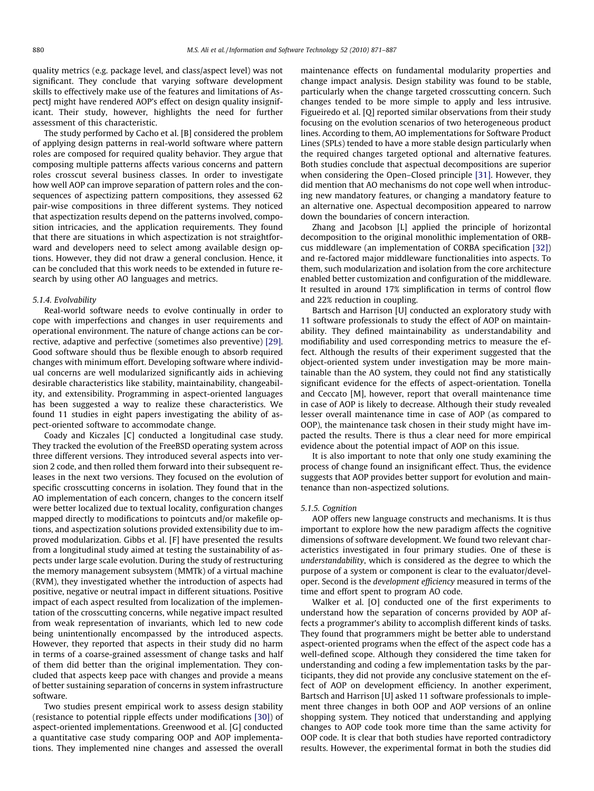quality metrics (e.g. package level, and class/aspect level) was not significant. They conclude that varying software development skills to effectively make use of the features and limitations of AspectJ might have rendered AOP's effect on design quality insignificant. Their study, however, highlights the need for further assessment of this characteristic.

The study performed by Cacho et al. [B] considered the problem of applying design patterns in real-world software where pattern roles are composed for required quality behavior. They argue that composing multiple patterns affects various concerns and pattern roles crosscut several business classes. In order to investigate how well AOP can improve separation of pattern roles and the consequences of aspectizing pattern compositions, they assessed 62 pair-wise compositions in three different systems. They noticed that aspectization results depend on the patterns involved, composition intricacies, and the application requirements. They found that there are situations in which aspectization is not straightforward and developers need to select among available design options. However, they did not draw a general conclusion. Hence, it can be concluded that this work needs to be extended in future research by using other AO languages and metrics.

## 5.1.4. Evolvability

Real-world software needs to evolve continually in order to cope with imperfections and changes in user requirements and operational environment. The nature of change actions can be corrective, adaptive and perfective (sometimes also preventive) [\[29\].](#page-16-0) Good software should thus be flexible enough to absorb required changes with minimum effort. Developing software where individual concerns are well modularized significantly aids in achieving desirable characteristics like stability, maintainability, changeability, and extensibility. Programming in aspect-oriented languages has been suggested a way to realize these characteristics. We found 11 studies in eight papers investigating the ability of aspect-oriented software to accommodate change.

Coady and Kiczales [C] conducted a longitudinal case study. They tracked the evolution of the FreeBSD operating system across three different versions. They introduced several aspects into version 2 code, and then rolled them forward into their subsequent releases in the next two versions. They focused on the evolution of specific crosscutting concerns in isolation. They found that in the AO implementation of each concern, changes to the concern itself were better localized due to textual locality, configuration changes mapped directly to modifications to pointcuts and/or makefile options, and aspectization solutions provided extensibility due to improved modularization. Gibbs et al. [F] have presented the results from a longitudinal study aimed at testing the sustainability of aspects under large scale evolution. During the study of restructuring the memory management subsystem (MMTk) of a virtual machine (RVM), they investigated whether the introduction of aspects had positive, negative or neutral impact in different situations. Positive impact of each aspect resulted from localization of the implementation of the crosscutting concerns, while negative impact resulted from weak representation of invariants, which led to new code being unintentionally encompassed by the introduced aspects. However, they reported that aspects in their study did no harm in terms of a coarse-grained assessment of change tasks and half of them did better than the original implementation. They concluded that aspects keep pace with changes and provide a means of better sustaining separation of concerns in system infrastructure software.

Two studies present empirical work to assess design stability (resistance to potential ripple effects under modifications [\[30\]\)](#page-16-0) of aspect-oriented implementations. Greenwood et al. [G] conducted a quantitative case study comparing OOP and AOP implementations. They implemented nine changes and assessed the overall maintenance effects on fundamental modularity properties and change impact analysis. Design stability was found to be stable, particularly when the change targeted crosscutting concern. Such changes tended to be more simple to apply and less intrusive. Figueiredo et al. [Q] reported similar observations from their study focusing on the evolution scenarios of two heterogeneous product lines. According to them, AO implementations for Software Product Lines (SPLs) tended to have a more stable design particularly when the required changes targeted optional and alternative features. Both studies conclude that aspectual decompositions are superior when considering the Open–Closed principle [\[31\]](#page-16-0). However, they did mention that AO mechanisms do not cope well when introducing new mandatory features, or changing a mandatory feature to an alternative one. Aspectual decomposition appeared to narrow down the boundaries of concern interaction.

Zhang and Jacobson [L] applied the principle of horizontal decomposition to the original monolithic implementation of ORBcus middleware (an implementation of CORBA specification [\[32\]\)](#page-16-0) and re-factored major middleware functionalities into aspects. To them, such modularization and isolation from the core architecture enabled better customization and configuration of the middleware. It resulted in around 17% simplification in terms of control flow and 22% reduction in coupling.

Bartsch and Harrison [U] conducted an exploratory study with 11 software professionals to study the effect of AOP on maintainability. They defined maintainability as understandability and modifiability and used corresponding metrics to measure the effect. Although the results of their experiment suggested that the object-oriented system under investigation may be more maintainable than the AO system, they could not find any statistically significant evidence for the effects of aspect-orientation. Tonella and Ceccato [M], however, report that overall maintenance time in case of AOP is likely to decrease. Although their study revealed lesser overall maintenance time in case of AOP (as compared to OOP), the maintenance task chosen in their study might have impacted the results. There is thus a clear need for more empirical evidence about the potential impact of AOP on this issue.

It is also important to note that only one study examining the process of change found an insignificant effect. Thus, the evidence suggests that AOP provides better support for evolution and maintenance than non-aspectized solutions.

#### 5.1.5. Cognition

AOP offers new language constructs and mechanisms. It is thus important to explore how the new paradigm affects the cognitive dimensions of software development. We found two relevant characteristics investigated in four primary studies. One of these is understandability, which is considered as the degree to which the purpose of a system or component is clear to the evaluator/developer. Second is the development efficiency measured in terms of the time and effort spent to program AO code.

Walker et al. [O] conducted one of the first experiments to understand how the separation of concerns provided by AOP affects a programmer's ability to accomplish different kinds of tasks. They found that programmers might be better able to understand aspect-oriented programs when the effect of the aspect code has a well-defined scope. Although they considered the time taken for understanding and coding a few implementation tasks by the participants, they did not provide any conclusive statement on the effect of AOP on development efficiency. In another experiment, Bartsch and Harrison [U] asked 11 software professionals to implement three changes in both OOP and AOP versions of an online shopping system. They noticed that understanding and applying changes to AOP code took more time than the same activity for OOP code. It is clear that both studies have reported contradictory results. However, the experimental format in both the studies did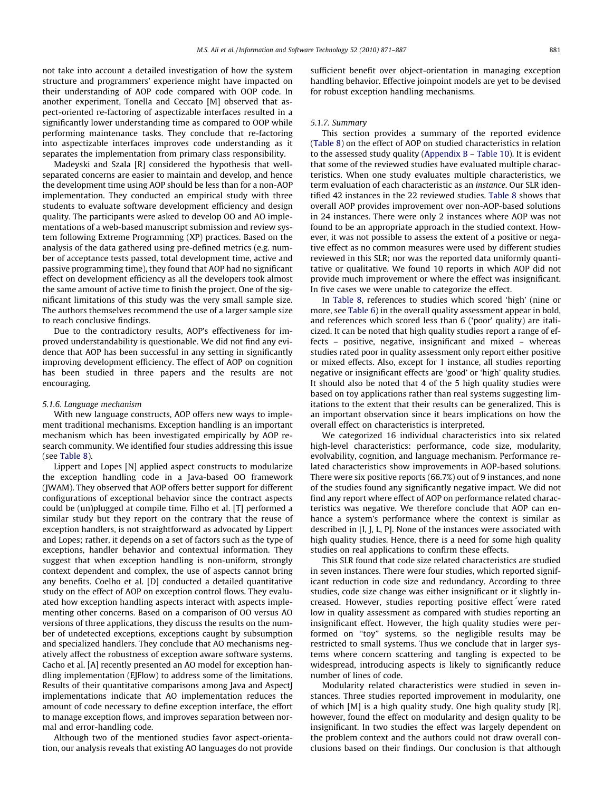not take into account a detailed investigation of how the system structure and programmers' experience might have impacted on their understanding of AOP code compared with OOP code. In another experiment, Tonella and Ceccato [M] observed that aspect-oriented re-factoring of aspectizable interfaces resulted in a significantly lower understanding time as compared to OOP while performing maintenance tasks. They conclude that re-factoring into aspectizable interfaces improves code understanding as it separates the implementation from primary class responsibility.

Madeyski and Szala [R] considered the hypothesis that wellseparated concerns are easier to maintain and develop, and hence the development time using AOP should be less than for a non-AOP implementation. They conducted an empirical study with three students to evaluate software development efficiency and design quality. The participants were asked to develop OO and AO implementations of a web-based manuscript submission and review system following Extreme Programming (XP) practices. Based on the analysis of the data gathered using pre-defined metrics (e.g. number of acceptance tests passed, total development time, active and passive programming time), they found that AOP had no significant effect on development efficiency as all the developers took almost the same amount of active time to finish the project. One of the significant limitations of this study was the very small sample size. The authors themselves recommend the use of a larger sample size to reach conclusive findings.

Due to the contradictory results, AOP's effectiveness for improved understandability is questionable. We did not find any evidence that AOP has been successful in any setting in significantly improving development efficiency. The effect of AOP on cognition has been studied in three papers and the results are not encouraging.

#### 5.1.6. Language mechanism

With new language constructs, AOP offers new ways to implement traditional mechanisms. Exception handling is an important mechanism which has been investigated empirically by AOP research community. We identified four studies addressing this issue (see [Table 8](#page-6-0)).

Lippert and Lopes [N] applied aspect constructs to modularize the exception handling code in a Java-based OO framework (JWAM). They observed that AOP offers better support for different configurations of exceptional behavior since the contract aspects could be (un)plugged at compile time. Filho et al. [T] performed a similar study but they report on the contrary that the reuse of exception handlers, is not straightforward as advocated by Lippert and Lopes; rather, it depends on a set of factors such as the type of exceptions, handler behavior and contextual information. They suggest that when exception handling is non-uniform, strongly context dependent and complex, the use of aspects cannot bring any benefits. Coelho et al. [D] conducted a detailed quantitative study on the effect of AOP on exception control flows. They evaluated how exception handling aspects interact with aspects implementing other concerns. Based on a comparison of OO versus AO versions of three applications, they discuss the results on the number of undetected exceptions, exceptions caught by subsumption and specialized handlers. They conclude that AO mechanisms negatively affect the robustness of exception aware software systems. Cacho et al. [A] recently presented an AO model for exception handling implementation (EJFlow) to address some of the limitations. Results of their quantitative comparisons among Java and AspectJ implementations indicate that AO implementation reduces the amount of code necessary to define exception interface, the effort to manage exception flows, and improves separation between normal and error-handling code.

Although two of the mentioned studies favor aspect-orientation, our analysis reveals that existing AO languages do not provide sufficient benefit over object-orientation in managing exception handling behavior. Effective joinpoint models are yet to be devised for robust exception handling mechanisms.

## 5.1.7. Summary

This section provides a summary of the reported evidence ([Table 8\)](#page-6-0) on the effect of AOP on studied characteristics in relation to the assessed study quality (Appendix B – [Table 10\)](#page-13-0). It is evident that some of the reviewed studies have evaluated multiple characteristics. When one study evaluates multiple characteristics, we term evaluation of each characteristic as an instance. Our SLR identified 42 instances in the 22 reviewed studies. [Table 8](#page-6-0) shows that overall AOP provides improvement over non-AOP-based solutions in 24 instances. There were only 2 instances where AOP was not found to be an appropriate approach in the studied context. However, it was not possible to assess the extent of a positive or negative effect as no common measures were used by different studies reviewed in this SLR; nor was the reported data uniformly quantitative or qualitative. We found 10 reports in which AOP did not provide much improvement or where the effect was insignificant. In five cases we were unable to categorize the effect.

In [Table 8,](#page-6-0) references to studies which scored 'high' (nine or more, see [Table 6\)](#page-5-0) in the overall quality assessment appear in bold, and references which scored less than 6 ('poor' quality) are italicized. It can be noted that high quality studies report a range of effects – positive, negative, insignificant and mixed – whereas studies rated poor in quality assessment only report either positive or mixed effects. Also, except for 1 instance, all studies reporting negative or insignificant effects are 'good' or 'high' quality studies. It should also be noted that 4 of the 5 high quality studies were based on toy applications rather than real systems suggesting limitations to the extent that their results can be generalized. This is an important observation since it bears implications on how the overall effect on characteristics is interpreted.

We categorized 16 individual characteristics into six related high-level characteristics: performance, code size, modularity, evolvability, cognition, and language mechanism. Performance related characteristics show improvements in AOP-based solutions. There were six positive reports (66.7%) out of 9 instances, and none of the studies found any significantly negative impact. We did not find any report where effect of AOP on performance related characteristics was negative. We therefore conclude that AOP can enhance a system's performance where the context is similar as described in [I, J, L, P]. None of the instances were associated with high quality studies. Hence, there is a need for some high quality studies on real applications to confirm these effects.

This SLR found that code size related characteristics are studied in seven instances. There were four studies, which reported significant reduction in code size and redundancy. According to three studies, code size change was either insignificant or it slightly increased. However, studies reporting positive effect ´were rated low in quality assessment as compared with studies reporting an insignificant effect. However, the high quality studies were performed on ''toy" systems, so the negligible results may be restricted to small systems. Thus we conclude that in larger systems where concern scattering and tangling is expected to be widespread, introducing aspects is likely to significantly reduce number of lines of code.

Modularity related characteristics were studied in seven instances. Three studies reported improvement in modularity, one of which [M] is a high quality study. One high quality study [R], however, found the effect on modularity and design quality to be insignificant. In two studies the effect was largely dependent on the problem context and the authors could not draw overall conclusions based on their findings. Our conclusion is that although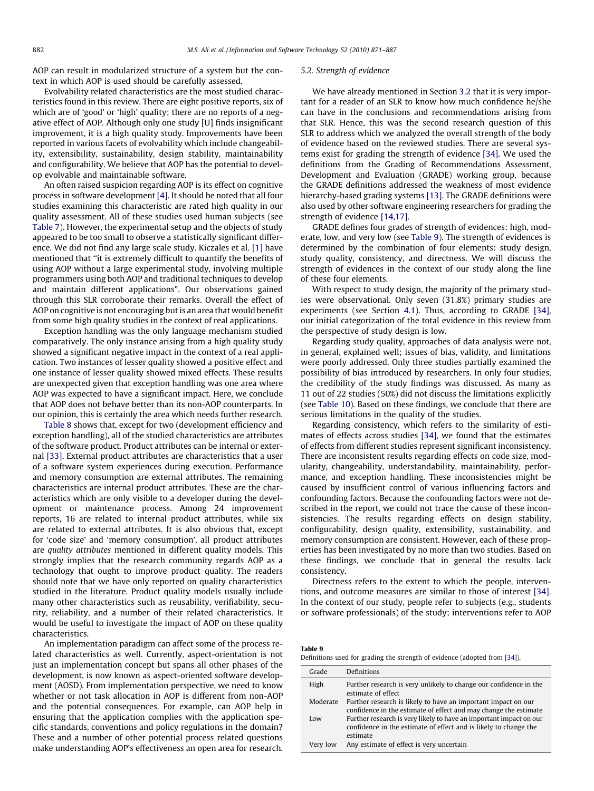AOP can result in modularized structure of a system but the context in which AOP is used should be carefully assessed.

Evolvability related characteristics are the most studied characteristics found in this review. There are eight positive reports, six of which are of 'good' or 'high' quality; there are no reports of a negative effect of AOP. Although only one study [U] finds insignificant improvement, it is a high quality study. Improvements have been reported in various facets of evolvability which include changeability, extensibility, sustainability, design stability, maintainability and configurability. We believe that AOP has the potential to develop evolvable and maintainable software.

An often raised suspicion regarding AOP is its effect on cognitive process in software development [\[4\]](#page-15-0). It should be noted that all four studies examining this characteristic are rated high quality in our quality assessment. All of these studies used human subjects (see [Table 7\)](#page-6-0). However, the experimental setup and the objects of study appeared to be too small to observe a statistically significant difference. We did not find any large scale study. Kiczales et al. [\[1\]](#page-15-0) have mentioned that ''it is extremely difficult to quantify the benefits of using AOP without a large experimental study, involving multiple programmers using both AOP and traditional techniques to develop and maintain different applications". Our observations gained through this SLR corroborate their remarks. Overall the effect of AOP on cognitive is not encouraging but is an area that would benefit from some high quality studies in the context of real applications.

Exception handling was the only language mechanism studied comparatively. The only instance arising from a high quality study showed a significant negative impact in the context of a real application. Two instances of lesser quality showed a positive effect and one instance of lesser quality showed mixed effects. These results are unexpected given that exception handling was one area where AOP was expected to have a significant impact. Here, we conclude that AOP does not behave better than its non-AOP counterparts. In our opinion, this is certainly the area which needs further research.

[Table 8](#page-6-0) shows that, except for two (development efficiency and exception handling), all of the studied characteristics are attributes of the software product. Product attributes can be internal or external [\[33\]](#page-16-0). External product attributes are characteristics that a user of a software system experiences during execution. Performance and memory consumption are external attributes. The remaining characteristics are internal product attributes. These are the characteristics which are only visible to a developer during the development or maintenance process. Among 24 improvement reports, 16 are related to internal product attributes, while six are related to external attributes. It is also obvious that, except for 'code size' and 'memory consumption', all product attributes are quality attributes mentioned in different quality models. This strongly implies that the research community regards AOP as a technology that ought to improve product quality. The readers should note that we have only reported on quality characteristics studied in the literature. Product quality models usually include many other characteristics such as reusability, verifiability, security, reliability, and a number of their related characteristics. It would be useful to investigate the impact of AOP on these quality characteristics.

<span id="page-11-0"></span>An implementation paradigm can affect some of the process related characteristics as well. Currently, aspect-orientation is not just an implementation concept but spans all other phases of the development, is now known as aspect-oriented software development (AOSD). From implementation perspective, we need to know whether or not task allocation in AOP is different from non-AOP and the potential consequences. For example, can AOP help in ensuring that the application complies with the application specific standards, conventions and policy regulations in the domain? These and a number of other potential process related questions make understanding AOP's effectiveness an open area for research.

#### 5.2. Strength of evidence

We have already mentioned in Section [3.2](#page-2-0) that it is very important for a reader of an SLR to know how much confidence he/she can have in the conclusions and recommendations arising from that SLR. Hence, this was the second research question of this SLR to address which we analyzed the overall strength of the body of evidence based on the reviewed studies. There are several systems exist for grading the strength of evidence [\[34\].](#page-16-0) We used the definitions from the Grading of Recommendations Assessment, Development and Evaluation (GRADE) working group, because the GRADE definitions addressed the weakness of most evidence hierarchy-based grading systems [\[13\]](#page-16-0). The GRADE definitions were also used by other software engineering researchers for grading the strength of evidence [\[14,17\].](#page-16-0)

GRADE defines four grades of strength of evidences: high, moderate, low, and very low (see [Table 9](#page-11-0)). The strength of evidences is determined by the combination of four elements: study design, study quality, consistency, and directness. We will discuss the strength of evidences in the context of our study along the line of these four elements.

With respect to study design, the majority of the primary studies were observational. Only seven (31.8%) primary studies are experiments (see Section [4.1\)](#page-5-0). Thus, according to GRADE [\[34\],](#page-16-0) our initial categorization of the total evidence in this review from the perspective of study design is low.

Regarding study quality, approaches of data analysis were not, in general, explained well; issues of bias, validity, and limitations were poorly addressed. Only three studies partially examined the possibility of bias introduced by researchers. In only four studies, the credibility of the study findings was discussed. As many as 11 out of 22 studies (50%) did not discuss the limitations explicitly (see [Table 10](#page-13-0)). Based on these findings, we conclude that there are serious limitations in the quality of the studies.

Regarding consistency, which refers to the similarity of estimates of effects across studies [\[34\]](#page-16-0), we found that the estimates of effects from different studies represent significant inconsistency. There are inconsistent results regarding effects on code size, modularity, changeability, understandability, maintainability, performance, and exception handling. These inconsistencies might be caused by insufficient control of various influencing factors and confounding factors. Because the confounding factors were not described in the report, we could not trace the cause of these inconsistencies. The results regarding effects on design stability, configurability, design quality, extensibility, sustainability, and memory consumption are consistent. However, each of these properties has been investigated by no more than two studies. Based on these findings, we conclude that in general the results lack consistency.

Directness refers to the extent to which the people, interventions, and outcome measures are similar to those of interest [\[34\].](#page-16-0) In the context of our study, people refer to subjects (e.g., students or software professionals) of the study; interventions refer to AOP

| Table |  |
|-------|--|
|       |  |

Definitions used for grading the strength of evidence (adopted from [\[34\]\)](#page-16-0).

| Grade    | Definitions                                                                                                                                        |
|----------|----------------------------------------------------------------------------------------------------------------------------------------------------|
| High     | Further research is very unlikely to change our confidence in the<br>estimate of effect                                                            |
| Moderate | Further research is likely to have an important impact on our<br>confidence in the estimate of effect and may change the estimate                  |
| Low      | Further research is very likely to have an important impact on our<br>confidence in the estimate of effect and is likely to change the<br>estimate |
| Very low | Any estimate of effect is very uncertain                                                                                                           |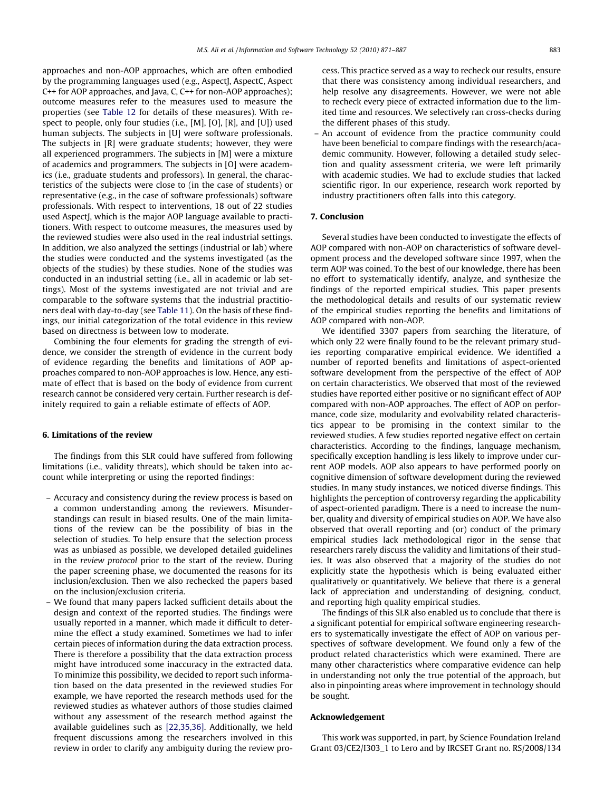approaches and non-AOP approaches, which are often embodied by the programming languages used (e.g., AspectJ, AspectC, Aspect C++ for AOP approaches, and Java, C, C++ for non-AOP approaches); outcome measures refer to the measures used to measure the properties (see [Table 12](#page-15-0) for details of these measures). With respect to people, only four studies (i.e., [M], [O], [R], and [U]) used human subjects. The subjects in [U] were software professionals. The subjects in [R] were graduate students; however, they were all experienced programmers. The subjects in [M] were a mixture of academics and programmers. The subjects in [O] were academics (i.e., graduate students and professors). In general, the characteristics of the subjects were close to (in the case of students) or representative (e.g., in the case of software professionals) software professionals. With respect to interventions, 18 out of 22 studies used AspectJ, which is the major AOP language available to practitioners. With respect to outcome measures, the measures used by the reviewed studies were also used in the real industrial settings. In addition, we also analyzed the settings (industrial or lab) where the studies were conducted and the systems investigated (as the objects of the studies) by these studies. None of the studies was conducted in an industrial setting (i.e., all in academic or lab settings). Most of the systems investigated are not trivial and are comparable to the software systems that the industrial practitioners deal with day-to-day (see [Table 11\)](#page-14-0). On the basis of these findings, our initial categorization of the total evidence in this review based on directness is between low to moderate.

Combining the four elements for grading the strength of evidence, we consider the strength of evidence in the current body of evidence regarding the benefits and limitations of AOP approaches compared to non-AOP approaches is low. Hence, any estimate of effect that is based on the body of evidence from current research cannot be considered very certain. Further research is definitely required to gain a reliable estimate of effects of AOP.

## 6. Limitations of the review

The findings from this SLR could have suffered from following limitations (i.e., validity threats), which should be taken into account while interpreting or using the reported findings:

- Accuracy and consistency during the review process is based on a common understanding among the reviewers. Misunderstandings can result in biased results. One of the main limitations of the review can be the possibility of bias in the selection of studies. To help ensure that the selection process was as unbiased as possible, we developed detailed guidelines in the review protocol prior to the start of the review. During the paper screening phase, we documented the reasons for its inclusion/exclusion. Then we also rechecked the papers based on the inclusion/exclusion criteria.
- <span id="page-12-0"></span>We found that many papers lacked sufficient details about the design and context of the reported studies. The findings were usually reported in a manner, which made it difficult to determine the effect a study examined. Sometimes we had to infer certain pieces of information during the data extraction process. There is therefore a possibility that the data extraction process might have introduced some inaccuracy in the extracted data. To minimize this possibility, we decided to report such information based on the data presented in the reviewed studies For example, we have reported the research methods used for the reviewed studies as whatever authors of those studies claimed without any assessment of the research method against the available guidelines such as [\[22,35,36\].](#page-16-0) Additionally, we held frequent discussions among the researchers involved in this review in order to clarify any ambiguity during the review pro-

cess. This practice served as a way to recheck our results, ensure that there was consistency among individual researchers, and help resolve any disagreements. However, we were not able to recheck every piece of extracted information due to the limited time and resources. We selectively ran cross-checks during the different phases of this study.

– An account of evidence from the practice community could have been beneficial to compare findings with the research/academic community. However, following a detailed study selection and quality assessment criteria, we were left primarily with academic studies. We had to exclude studies that lacked scientific rigor. In our experience, research work reported by industry practitioners often falls into this category.

## 7. Conclusion

Several studies have been conducted to investigate the effects of AOP compared with non-AOP on characteristics of software development process and the developed software since 1997, when the term AOP was coined. To the best of our knowledge, there has been no effort to systematically identify, analyze, and synthesize the findings of the reported empirical studies. This paper presents the methodological details and results of our systematic review of the empirical studies reporting the benefits and limitations of AOP compared with non-AOP.

We identified 3307 papers from searching the literature, of which only 22 were finally found to be the relevant primary studies reporting comparative empirical evidence. We identified a number of reported benefits and limitations of aspect-oriented software development from the perspective of the effect of AOP on certain characteristics. We observed that most of the reviewed studies have reported either positive or no significant effect of AOP compared with non-AOP approaches. The effect of AOP on performance, code size, modularity and evolvability related characteristics appear to be promising in the context similar to the reviewed studies. A few studies reported negative effect on certain characteristics. According to the findings, language mechanism, specifically exception handling is less likely to improve under current AOP models. AOP also appears to have performed poorly on cognitive dimension of software development during the reviewed studies. In many study instances, we noticed diverse findings. This highlights the perception of controversy regarding the applicability of aspect-oriented paradigm. There is a need to increase the number, quality and diversity of empirical studies on AOP. We have also observed that overall reporting and (or) conduct of the primary empirical studies lack methodological rigor in the sense that researchers rarely discuss the validity and limitations of their studies. It was also observed that a majority of the studies do not explicitly state the hypothesis which is being evaluated either qualitatively or quantitatively. We believe that there is a general lack of appreciation and understanding of designing, conduct, and reporting high quality empirical studies.

The findings of this SLR also enabled us to conclude that there is a significant potential for empirical software engineering researchers to systematically investigate the effect of AOP on various perspectives of software development. We found only a few of the product related characteristics which were examined. There are many other characteristics where comparative evidence can help in understanding not only the true potential of the approach, but also in pinpointing areas where improvement in technology should be sought.

#### Acknowledgement

This work was supported, in part, by Science Foundation Ireland Grant 03/CE2/I303\_1 to Lero and by IRCSET Grant no. RS/2008/134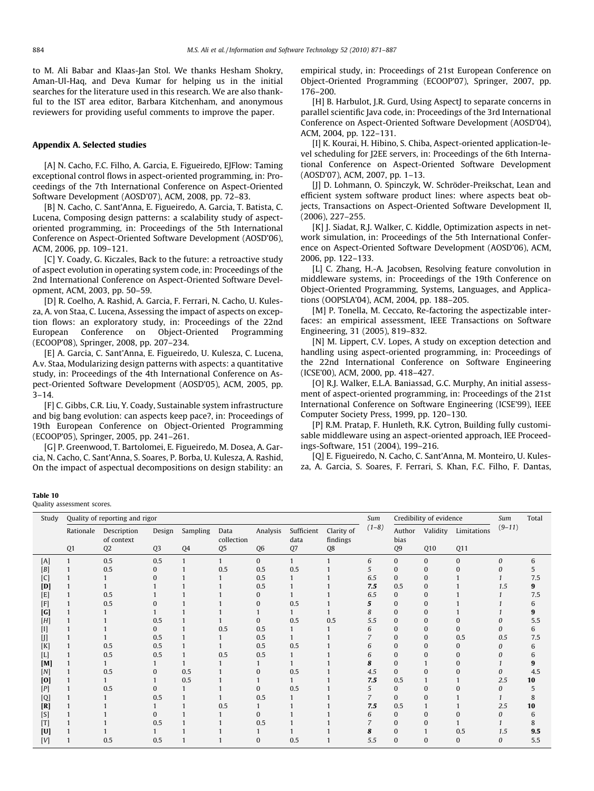to M. Ali Babar and Klaas-Jan Stol. We thanks Hesham Shokry, Aman-Ul-Haq, and Deva Kumar for helping us in the initial searches for the literature used in this research. We are also thankful to the IST area editor, Barbara Kitchenham, and anonymous reviewers for providing useful comments to improve the paper.

## Appendix A. Selected studies

[A] N. Cacho, F.C. Filho, A. Garcia, E. Figueiredo, EJFlow: Taming exceptional control flows in aspect-oriented programming, in: Proceedings of the 7th International Conference on Aspect-Oriented Software Development (AOSD'07), ACM, 2008, pp. 72–83.

[B] N. Cacho, C. Sant'Anna, E. Figueiredo, A. Garcia, T. Batista, C. Lucena, Composing design patterns: a scalability study of aspectoriented programming, in: Proceedings of the 5th International Conference on Aspect-Oriented Software Development (AOSD'06), ACM, 2006, pp. 109–121.

[C] Y. Coady, G. Kiczales, Back to the future: a retroactive study of aspect evolution in operating system code, in: Proceedings of the 2nd International Conference on Aspect-Oriented Software Development, ACM, 2003, pp. 50–59.

[D] R. Coelho, A. Rashid, A. Garcia, F. Ferrari, N. Cacho, U. Kulesza, A. von Staa, C. Lucena, Assessing the impact of aspects on exception flows: an exploratory study, in: Proceedings of the 22nd European Conference on Object-Oriented Programming (ECOOP'08), Springer, 2008, pp. 207–234.

[E] A. Garcia, C. Sant'Anna, E. Figueiredo, U. Kulesza, C. Lucena, A.v. Staa, Modularizing design patterns with aspects: a quantitative study, in: Proceedings of the 4th International Conference on Aspect-Oriented Software Development (AOSD'05), ACM, 2005, pp. 3–14.

[F] C. Gibbs, C.R. Liu, Y. Coady, Sustainable system infrastructure and big bang evolution: can aspects keep pace?, in: Proceedings of 19th European Conference on Object-Oriented Programming (ECOOP'05), Springer, 2005, pp. 241–261.

[G] P. Greenwood, T. Bartolomei, E. Figueiredo, M. Dosea, A. Garcia, N. Cacho, C. Sant'Anna, S. Soares, P. Borba, U. Kulesza, A. Rashid, On the impact of aspectual decompositions on design stability: an empirical study, in: Proceedings of 21st European Conference on Object-Oriented Programming (ECOOP'07), Springer, 2007, pp. 176–200.

[H] B. Harbulot, J.R. Gurd, Using Aspect] to separate concerns in parallel scientific Java code, in: Proceedings of the 3rd International Conference on Aspect-Oriented Software Development (AOSD'04), ACM, 2004, pp. 122–131.

[I] K. Kourai, H. Hibino, S. Chiba, Aspect-oriented application-level scheduling for J2EE servers, in: Proceedings of the 6th International Conference on Aspect-Oriented Software Development (AOSD'07), ACM, 2007, pp. 1–13.

[J] D. Lohmann, O. Spinczyk, W. Schröder-Preikschat, Lean and efficient system software product lines: where aspects beat objects, Transactions on Aspect-Oriented Software Development II, (2006), 227–255.

[K] J. Siadat, R.J. Walker, C. Kiddle, Optimization aspects in network simulation, in: Proceedings of the 5th International Conference on Aspect-Oriented Software Development (AOSD'06), ACM, 2006, pp. 122–133.

[L] C. Zhang, H.-A. Jacobsen, Resolving feature convolution in middleware systems, in: Proceedings of the 19th Conference on Object-Oriented Programming, Systems, Languages, and Applications (OOPSLA'04), ACM, 2004, pp. 188–205.

[M] P. Tonella, M. Ceccato, Re-factoring the aspectizable interfaces: an empirical assessment, IEEE Transactions on Software Engineering, 31 (2005), 819–832.

[N] M. Lippert, C.V. Lopes, A study on exception detection and handling using aspect-oriented programming, in: Proceedings of the 22nd International Conference on Software Engineering (ICSE'00), ACM, 2000, pp. 418–427.

[O] R.J. Walker, E.L.A. Baniassad, G.C. Murphy, An initial assessment of aspect-oriented programming, in: Proceedings of the 21st International Conference on Software Engineering (ICSE'99), IEEE Computer Society Press, 1999, pp. 120–130.

[P] R.M. Pratap, F. Hunleth, R.K. Cytron, Building fully customisable middleware using an aspect-oriented approach, IEE Proceedings-Software, 151 (2004), 199–216.

[Q] E. Figueiredo, N. Cacho, C. Sant'Anna, M. Monteiro, U. Kulesza, A. Garcia, S. Soares, F. Ferrari, S. Khan, F.C. Filho, F. Dantas,

## Table 10

Quality assessment scores.

<span id="page-13-0"></span>

| Study   | Quality of reporting and rigor |                           |                |          |                    |                | Sum                | Credibility of evidence |         |                | Sum      | Total        |            |     |
|---------|--------------------------------|---------------------------|----------------|----------|--------------------|----------------|--------------------|-------------------------|---------|----------------|----------|--------------|------------|-----|
|         | Rationale                      | Description<br>of context | Design         | Sampling | Data<br>collection | Analysis       | Sufficient<br>data | Clarity of<br>findings  | $(1-8)$ | Author<br>bias | Validity | Limitations  | $(9 - 11)$ |     |
|         | Q <sub>1</sub>                 | Q <sub>2</sub>            | Q <sub>3</sub> | Q4       | Q <sub>5</sub>     | Q <sub>6</sub> | Q7                 | Q8                      |         | Q <sub>9</sub> | Q10      | Q11          |            |     |
| [A]     |                                | 0.5                       | 0.5            |          |                    | $\Omega$       | $\mathbf{1}$       |                         | 6       | $\Omega$       | $\Omega$ | $\Omega$     | $\Omega$   | 6   |
| [B]     |                                | 0.5                       | $\Omega$       |          | 0.5                | 0.5            | 0.5                |                         | 5       | $\Omega$       | $\Omega$ | O            | ſ          | 5   |
| [C]     |                                |                           | $\Omega$       |          |                    | 0.5            |                    |                         | 6.5     | $\Omega$       | $\Omega$ |              |            | 7.5 |
| [D]     |                                |                           |                |          |                    | 0.5            |                    |                         | 7.5     | 0.5            | 0        |              | 1.5        | 9   |
| [E]     |                                | 0.5                       |                |          |                    |                |                    |                         | 6.5     | $\Omega$       | $\Omega$ |              |            | 7.5 |
| [F]     |                                | 0.5                       | o              |          |                    | $\Omega$       | 0.5                |                         | 5       | $\Omega$       | $\Omega$ |              |            | 6   |
| [G]     |                                |                           |                |          |                    |                |                    |                         | 8       |                | $\Omega$ |              |            | 9   |
| $[H]$   |                                |                           | 0.5            |          |                    |                | 0.5                | 0.5                     | 5.5     | $\Omega$       | $\Omega$ |              |            | 5.5 |
| $[1]$   |                                |                           | $\Omega$       |          | 0.5                | 0.5            |                    |                         | 6       | $\Omega$       | $\Omega$ | 0            | 0          | 6   |
| $[]$    |                                |                           | 0.5            |          |                    | 0.5            |                    |                         |         | $\bf{0}$       | 0        | 0.5          | 0.5        | 7.5 |
| [K]     |                                | 0.5                       | 0.5            |          |                    | 0.5            | 0.5                |                         |         | 0              | 0        |              |            |     |
| $[L]$   |                                | 0.5                       | 0.5            |          | 0.5                | 0.5            |                    |                         |         | $\Omega$       | $\Omega$ |              |            | 6   |
| [M]     |                                |                           |                |          |                    |                |                    |                         | 8       | 0              |          |              |            | 9   |
| [N]     |                                | 0.5                       | $\Omega$       | 0.5      |                    |                | 0.5                |                         | 4.5     | $\Omega$       | $\Omega$ |              | $\Omega$   | 4.5 |
| [0]     |                                |                           |                | 0.5      |                    |                |                    |                         | 7.5     | 0.5            |          |              | 2.5        | 10  |
| $[ P ]$ |                                | 0.5                       | $\Omega$       |          |                    | 0              | 0.5                |                         | 5       | $\Omega$       | 0        |              | $\Omega$   | 5   |
| [Q]     |                                |                           | 0.5            |          |                    | 0.5            |                    |                         |         | $\mathbf{0}$   | $\Omega$ |              |            | 8   |
| [R]     |                                |                           |                |          | 0.5                |                |                    |                         | 7.5     | 0.5            |          |              | 2.5        | 10  |
| [S]     |                                |                           | $\Omega$       |          |                    | 0              |                    |                         | 6       | $\Omega$       | $\Omega$ |              | n          | 6   |
| [T]     |                                |                           | 0.5            |          |                    | 0.5            |                    |                         |         | $\Omega$       | $\Omega$ |              |            | 8   |
| [U]     |                                |                           |                |          |                    |                |                    |                         |         |                |          | 0.5          | 1.5        | 9.5 |
| [V]     |                                | 0.5                       | 0.5            |          |                    | $\Omega$       | 0.5                |                         | 5.5     | $\Omega$       | $\Omega$ | $\mathbf{0}$ | $\Omega$   | 5.5 |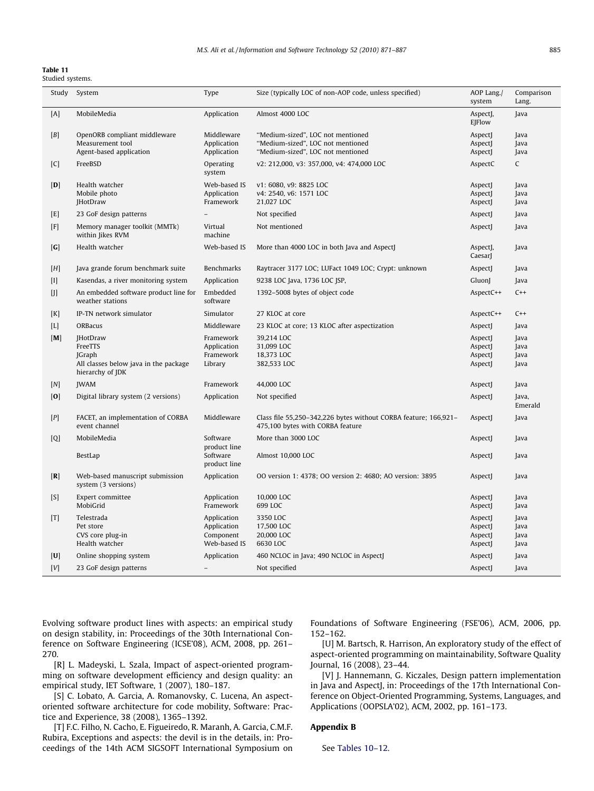Studied systems.

| Study       | System                                                                                                   | Type                                                    | Size (typically LOC of non-AOP code, unless specified)                                                      | AOP Lang./<br>system                     | Comparison<br>Lang.          |
|-------------|----------------------------------------------------------------------------------------------------------|---------------------------------------------------------|-------------------------------------------------------------------------------------------------------------|------------------------------------------|------------------------------|
| [A]         | MobileMedia                                                                                              | Application                                             | Almost 4000 LOC                                                                                             | Aspect],<br><b>EJFlow</b>                | Java                         |
| [B]         | OpenORB compliant middleware<br>Measurement tool<br>Agent-based application                              | Middleware<br>Application<br>Application                | "Medium-sized", LOC not mentioned<br>"Medium-sized", LOC not mentioned<br>"Medium-sized", LOC not mentioned | Aspect]<br>Aspect]<br>AspectJ            | Java<br>Java<br>Java         |
| [C]         | FreeBSD                                                                                                  | Operating<br>system                                     | v2: 212,000, v3: 357,000, v4: 474,000 LOC                                                                   | AspectC                                  | $\mathsf{C}$                 |
| [D]         | Health watcher<br>Mobile photo<br><b>JHotDraw</b>                                                        | Web-based IS<br>Application<br>Framework                | v1: 6080, v9: 8825 LOC<br>v4: 2540, v6: 1571 LOC<br>21,027 LOC                                              | Aspect]<br>AspectI<br>AspectJ            | Java<br>Java<br>Java         |
| [E]         | 23 GoF design patterns                                                                                   |                                                         | Not specified                                                                                               | AspectJ                                  | Java                         |
| [F]         | Memory manager toolkit (MMTk)<br>within Jikes RVM                                                        | Virtual<br>machine                                      | Not mentioned                                                                                               | AspectJ                                  | Java                         |
| [G]         | Health watcher                                                                                           | Web-based IS                                            | More than 4000 LOC in both Java and AspectJ                                                                 | AspectJ,<br>CaesarJ                      | Java                         |
| [H]         | Java grande forum benchmark suite                                                                        | Benchmarks                                              | Raytracer 3177 LOC; LUFact 1049 LOC; Crypt: unknown                                                         | Aspect]                                  | Java                         |
| $[1]$       | Kasendas, a river monitoring system                                                                      | Application                                             | 9238 LOC Java, 1736 LOC JSP,                                                                                | Gluon]                                   | Java                         |
| $[]$        | An embedded software product line for<br>weather stations                                                | Embedded<br>software                                    | 1392-5008 bytes of object code                                                                              | AspectC++                                | $C++$                        |
| [K]         | IP-TN network simulator                                                                                  | Simulator                                               | 27 KLOC at core                                                                                             | AspectC++                                | $C++$                        |
| $[{\rm L}]$ | ORBacus                                                                                                  | Middleware                                              | 23 KLOC at core; 13 KLOC after aspectization                                                                | AspectJ                                  | Java                         |
| [M]         | <b>JHotDraw</b><br>FreeTTS<br><b>JGraph</b><br>All classes below java in the package<br>hierarchy of JDK | Framework<br>Application<br>Framework<br>Library        | 39,214 LOC<br>31,099 LOC<br>18,373 LOC<br>382,533 LOC                                                       | Aspect]<br>Aspect]<br>AspectJ<br>AspectJ | Java<br>Java<br>Java<br>Java |
| [N]         | <b>JWAM</b>                                                                                              | Framework                                               | 44,000 LOC                                                                                                  | Aspect]                                  | Java                         |
| [0]         | Digital library system (2 versions)                                                                      | Application                                             | Not specified                                                                                               | AspectJ                                  | Java,<br>Emerald             |
| [P]         | FACET, an implementation of CORBA<br>event channel                                                       | Middleware                                              | Class file 55,250-342,226 bytes without CORBA feature; 166,921-<br>475,100 bytes with CORBA feature         | Aspect]                                  | Java                         |
| [Q]         | MobileMedia                                                                                              | Software<br>product line                                | More than 3000 LOC                                                                                          | AspectJ                                  | Java                         |
|             | BestLap                                                                                                  | Software<br>product line                                | Almost 10,000 LOC                                                                                           | Aspect]                                  | Java                         |
| [R]         | Web-based manuscript submission<br>system (3 versions)                                                   | Application                                             | 00 version 1: 4378; 00 version 2: 4680; AO version: 3895                                                    | Aspect]                                  | Java                         |
| [S]         | Expert committee<br>MobiGrid                                                                             | Application<br>Framework                                | 10,000 LOC<br>699 LOC                                                                                       | Aspect]<br>AspectJ                       | Java<br>Java                 |
| [T]         | Telestrada<br>Pet store<br>CVS core plug-in<br>Health watcher                                            | Application<br>Application<br>Component<br>Web-based IS | 3350 LOC<br>17,500 LOC<br>20,000 LOC<br>6630 LOC                                                            | AspectI<br>Aspect]<br>Aspect]<br>AspectJ | Java<br>Java<br>Java<br>Java |
| [U]         | Online shopping system                                                                                   | Application                                             | 460 NCLOC in Java; 490 NCLOC in AspectJ                                                                     | AspectJ                                  | Java                         |
| [V]         | 23 GoF design patterns                                                                                   | $\frac{1}{2}$                                           | Not specified                                                                                               | Aspect]                                  | Java                         |
|             |                                                                                                          |                                                         |                                                                                                             |                                          |                              |

Evolving software product lines with aspects: an empirical study on design stability, in: Proceedings of the 30th International Conference on Software Engineering (ICSE'08), ACM, 2008, pp. 261– 270.

[R] L. Madeyski, L. Szala, Impact of aspect-oriented programming on software development efficiency and design quality: an empirical study, IET Software, 1 (2007), 180–187.

[S] C. Lobato, A. Garcia, A. Romanovsky, C. Lucena, An aspectoriented software architecture for code mobility, Software: Practice and Experience, 38 (2008), 1365–1392.

<span id="page-14-0"></span>[T] F.C. Filho, N. Cacho, E. Figueiredo, R. Maranh, A. Garcia, C.M.F. Rubira, Exceptions and aspects: the devil is in the details, in: Proceedings of the 14th ACM SIGSOFT International Symposium on Foundations of Software Engineering (FSE'06), ACM, 2006, pp. 152–162.

[U] M. Bartsch, R. Harrison, An exploratory study of the effect of aspect-oriented programming on maintainability, Software Quality Journal, 16 (2008), 23–44.

[V] J. Hannemann, G. Kiczales, Design pattern implementation in Java and AspectJ, in: Proceedings of the 17th International Conference on Object-Oriented Programming, Systems, Languages, and Applications (OOPSLA'02), ACM, 2002, pp. 161–173.

## Appendix B

See [Tables 10–12.](#page-13-0)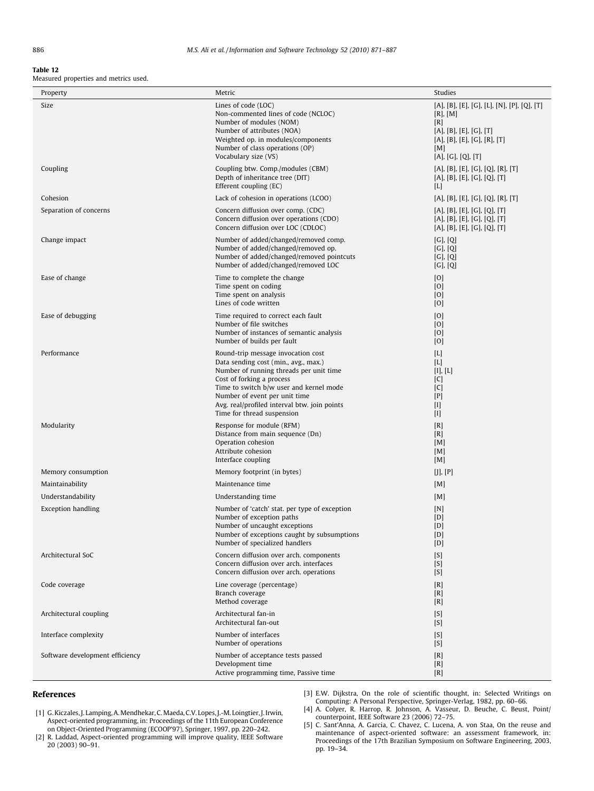#### Table 12

Measured properties and metrics used.

| Property                        | Metric                                                                                                                                                                                                                                                                                                       | Studies                                                                                                                                                |
|---------------------------------|--------------------------------------------------------------------------------------------------------------------------------------------------------------------------------------------------------------------------------------------------------------------------------------------------------------|--------------------------------------------------------------------------------------------------------------------------------------------------------|
| Size                            | Lines of code (LOC)<br>Non-commented lines of code (NCLOC)<br>Number of modules (NOM)<br>Number of attributes (NOA)<br>Weighted op. in modules/components<br>Number of class operations (OP)<br>Vocabulary size (VS)                                                                                         | [A], [B], [E], [G], [L], [N], [P], [Q], [T]<br>[R], [M]<br>[R]<br>[A], [B], [E], [G], [T]<br>[A], [B], [E], [G], [R], [T]<br>[M]<br>[A], [G], [Q], [T] |
| Coupling                        | Coupling btw. Comp./modules (CBM)<br>Depth of inheritance tree (DIT)<br>Efferent coupling (EC)                                                                                                                                                                                                               | [A], [B], [E], [G], [Q], [R], [T]<br>[A], [B], [E], [G], [Q], [T]<br>[L]                                                                               |
| Cohesion                        | Lack of cohesion in operations (LCOO)                                                                                                                                                                                                                                                                        | [A], [B], [E], [G], [Q], [R], [T]                                                                                                                      |
| Separation of concerns          | Concern diffusion over comp. (CDC)<br>Concern diffusion over operations (CDO)<br>Concern diffusion over LOC (CDLOC)                                                                                                                                                                                          | [A], [B], [E], [G], [Q], [T]<br>[A], [B], [E], [G], [Q], [T]<br>[A], [B], [E], [G], [Q], [T]                                                           |
| Change impact                   | Number of added/changed/removed comp.<br>Number of added/changed/removed op.<br>Number of added/changed/removed pointcuts<br>Number of added/changed/removed LOC                                                                                                                                             | [G], [Q]<br>[G], [Q]<br>[G], [Q]<br>[G], [Q]                                                                                                           |
| Ease of change                  | Time to complete the change<br>Time spent on coding<br>Time spent on analysis<br>Lines of code written                                                                                                                                                                                                       | [O]<br>[0]<br>[0]<br>[0]                                                                                                                               |
| Ease of debugging               | Time required to correct each fault<br>Number of file switches<br>Number of instances of semantic analysis<br>Number of builds per fault                                                                                                                                                                     | [O]<br>[0]<br>[0]<br>[0]                                                                                                                               |
| Performance                     | Round-trip message invocation cost<br>Data sending cost (min., avg., max.)<br>Number of running threads per unit time<br>Cost of forking a process<br>Time to switch b/w user and kernel mode<br>Number of event per unit time<br>Avg. real/profiled interval btw. join points<br>Time for thread suspension | $[L]$<br>$[L]$<br>[I], [L]<br> C <br>[C]<br>[P]<br>$[1]$<br>$[1]$                                                                                      |
| Modularity                      | Response for module (RFM)<br>Distance from main sequence (Dn)<br>Operation cohesion<br>Attribute cohesion<br>Interface coupling                                                                                                                                                                              | [R]<br>[R]<br>[M]<br>[M]<br>[M]                                                                                                                        |
| Memory consumption              | Memory footprint (in bytes)                                                                                                                                                                                                                                                                                  | [J], [P]                                                                                                                                               |
| Maintainability                 | Maintenance time                                                                                                                                                                                                                                                                                             | [M]                                                                                                                                                    |
| Understandability               | Understanding time                                                                                                                                                                                                                                                                                           | [M]                                                                                                                                                    |
| <b>Exception handling</b>       | Number of 'catch' stat. per type of exception<br>Number of exception paths<br>Number of uncaught exceptions<br>Number of exceptions caught by subsumptions<br>Number of specialized handlers                                                                                                                 | [N]<br>[D]<br>[D]<br>[D]<br>[D]                                                                                                                        |
| Architectural SoC               | Concern diffusion over arch. components<br>Concern diffusion over arch, interfaces<br>Concern diffusion over arch, operations                                                                                                                                                                                | [S]<br>[S]<br>[S]                                                                                                                                      |
| Code coverage                   | Line coverage (percentage)<br>Branch coverage<br>Method coverage                                                                                                                                                                                                                                             | [R]<br>[R]<br>[R]                                                                                                                                      |
| Architectural coupling          | Architectural fan-in<br>Architectural fan-out                                                                                                                                                                                                                                                                | [S]<br>[S]                                                                                                                                             |
| Interface complexity            | Number of interfaces<br>Number of operations                                                                                                                                                                                                                                                                 | [S]<br>[S]                                                                                                                                             |
| Software development efficiency | Number of acceptance tests passed<br>Development time<br>Active programming time, Passive time                                                                                                                                                                                                               | [R]<br>[R]<br>[R]                                                                                                                                      |

## References

[3] E.W. Dijkstra, On the role of scientific thought, in: Selected Writings on Computing: A Personal Perspective, Springer-Verlag, 1982, pp. 60–66. [4] A. Colyer, R. Harrop, R. Johnson, A. Vasseur, D. Beuche, C. Beust, Point/

counterpoint, IEEE Software 23 (2006) 72–75.

- [1] G. Kiczales, J. Lamping, A.Mendhekar, C.Maeda, C.V. Lopes, J.-M. Loingtier, J. Irwin, Aspect-oriented programming, in: Proceedings of the 11th European Conference on Object-Oriented Programming (ECOOP'97), Springer, 1997, pp. 220–242.
- <span id="page-15-0"></span>[2] R. Laddad, Aspect-oriented programming will improve quality, IEEE Software 20 (2003) 90–91.
- [5] C. Sant'Anna, A. Garcia, C. Chavez, C. Lucena, A. von Staa, On the reuse and maintenance of aspect-oriented software: an assessment framework, in: Proceedings of the 17th Brazilian Symposium on Software Engineering, 2003, pp. 19–34.